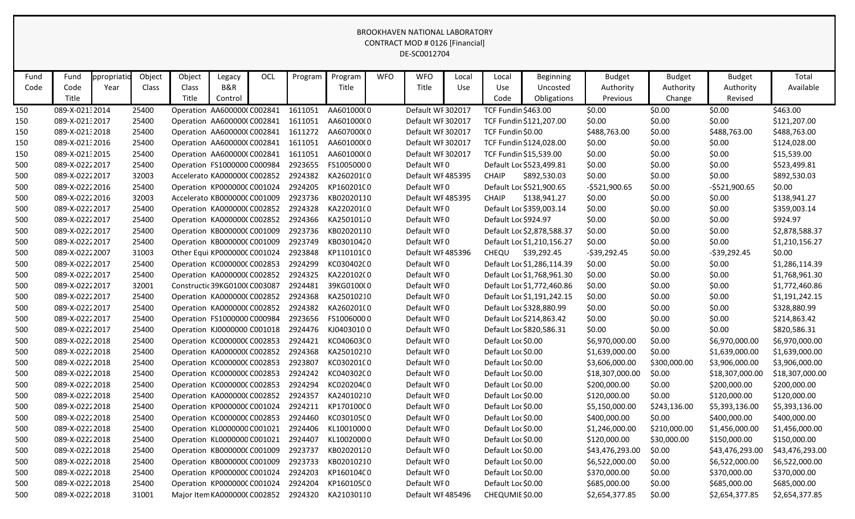| Fund | Fund            | ppropriatic | Object | Object | Legacy                             | OCL | Program | Program    | <b>WFO</b> | <b>WFO</b>        | Local | Local                      | Beginning                  | <b>Budget</b>   | <b>Budget</b> | <b>Budget</b>   | Total           |
|------|-----------------|-------------|--------|--------|------------------------------------|-----|---------|------------|------------|-------------------|-------|----------------------------|----------------------------|-----------------|---------------|-----------------|-----------------|
| Code | Code            | Year        | Class  | Class  | B&R                                |     |         | Title      |            | Title             | Use   | <b>Use</b>                 | Uncosted                   | Authority       | Authority     | Authority       | Available       |
|      | Title           |             |        | Title  | Control                            |     |         |            |            |                   |       | Code                       | Obligations                | Previous        | Change        | Revised         |                 |
| 150  | 089-X-02132014  |             | 25400  |        | Operation AA600000(C002841         |     | 1611051 | AA601000(0 |            | Default WF 302017 |       | <b>TCF Fundin \$463.00</b> |                            | \$0.00          | \$0.00        | \$0.00          | \$463.00        |
| 150  | 089-X-02132017  |             | 25400  |        | Operation AA600000(C002841         |     | 1611051 | AA601000(0 |            | Default WF 302017 |       |                            | TCF Fundin \$121,207.00    | \$0.00          | \$0.00        | \$0.00          | \$121,207.00    |
| 150  | 089-X-021:2018  |             | 25400  |        | Operation AA600000(C002841         |     | 1611272 | AA607000(0 |            | Default WF 302017 |       | TCF Fundin \$0.00          |                            | \$488,763.00    | \$0.00        | \$488,763.00    | \$488,763.00    |
| 150  | 089-X-02132016  |             | 25400  |        | Operation AA600000(C002841         |     | 1611051 | AA601000(0 |            | Default WF 302017 |       |                            | TCF Fundin \$124,028.00    | \$0.00          | \$0.00        | \$0.00          | \$124,028.00    |
| 150  | 089-X-02132015  |             | 25400  |        | Operation AA600000(C002841         |     | 1611051 | AA601000(0 |            | Default WF 302017 |       |                            | TCF Fundin \$15,539.00     | \$0.00          | \$0.00        | \$0.00          | \$15,539.00     |
| 500  | 089-X-0222 2017 |             | 25400  |        | Operation FS1000000 C000984        |     | 2923655 | FS10050000 |            | Default WF0       |       |                            | Default Loc \$523,499.81   | \$0.00          | \$0.00        | \$0.00          | \$523,499.81    |
| 500  | 089-X-02222017  |             | 32003  |        | Accelerato KA0000000 C002852       |     | 2924382 | KA260201(0 |            | Default WF485395  |       | <b>CHAIP</b>               | \$892,530.03               | \$0.00          | \$0.00        | \$0.00          | \$892,530.03    |
| 500  | 089-X-02222016  |             | 25400  |        | Operation KP000000CC001024         |     | 2924205 | KP160201C0 |            | Default WF0       |       |                            | Default Loc \$521,900.65   | $-5521,900.65$  | \$0.00        | $-5521,900.65$  | \$0.00          |
| 500  | 089-X-02222016  |             | 32003  |        | Accelerato KB000000C C001009       |     | 2923736 | KB02020110 |            | Default WF485395  |       | <b>CHAIP</b>               | \$138,941.27               | \$0.00          | \$0.00        | \$0.00          | \$138,941.27    |
| 500  | 089-X-02222017  |             | 25400  |        | Operation KA000000C C002852        |     | 2924328 | KA220201(0 |            | Default WF0       |       |                            | Default Loc \$359,003.14   | \$0.00          | \$0.00        | \$0.00          | \$359,003.14    |
| 500  | 089-X-0222 2017 |             | 25400  |        | Operation KA000000C C002852        |     | 2924366 | KA25010120 |            | Default WF0       |       | Default Loc \$924.97       |                            | \$0.00          | \$0.00        | \$0.00          | \$924.97        |
| 500  | 089-X-02222017  |             | 25400  |        | Operation KB000000C C001009        |     | 2923736 | KB02020110 |            | Default WF0       |       |                            | Default Loc \$2,878,588.37 | \$0.00          | \$0.00        | \$0.00          | \$2,878,588.37  |
| 500  | 089-X-02222017  |             | 25400  |        | Operation KB000000C C001009        |     | 2923749 | KB03010420 |            | Default WF0       |       |                            | Default Loc \$1,210,156.27 | \$0.00          | \$0.00        | \$0.00          | \$1,210,156.27  |
| 500  | 089-X-02222007  |             | 31003  |        | Other Equi KP000000C C001024       |     | 2923848 | KP110101C0 |            | Default WF485396  |       | CHEQU                      | \$39,292.45                | $-539,292.45$   | \$0.00        | -\$39,292.45    | \$0.00          |
| 500  | 089-X-02222017  |             | 25400  |        | Operation KC000000CC002853         |     | 2924299 | KC03040200 |            | Default WF0       |       |                            | Default Loc \$1,286,114.39 | \$0.00          | \$0.00        | \$0.00          | \$1,286,114.39  |
| 500  | 089-X-0222 2017 |             | 25400  |        | Operation KA000000C C002852        |     | 2924325 | KA220102(0 |            | Default WF0       |       |                            | Default Loc \$1,768,961.30 | \$0.00          | \$0.00        | \$0.00          | \$1,768,961.30  |
| 500  | 089-X-02222017  |             | 32001  |        | Constructic 39KG01000 C003087      |     | 2924481 | 39KG0100(0 |            | Default WF0       |       |                            | Default Loc \$1,772,460.86 | \$0.00          | \$0.00        | \$0.00          | \$1,772,460.86  |
| 500  | 089-X-02222017  |             | 25400  |        | Operation KA000000C C002852        |     | 2924368 | KA25010210 |            | Default WF0       |       |                            | Default Loc \$1,191,242.15 | \$0.00          | \$0.00        | \$0.00          | \$1,191,242.15  |
| 500  | 089-X-02222017  |             | 25400  |        | Operation KA000000C C002852        |     | 2924382 | KA260201(0 |            | Default WF0       |       |                            | Default Loc \$328,880.99   | \$0.00          | \$0.00        | \$0.00          | \$328,880.99    |
| 500  | 089-X-02222017  |             | 25400  |        | Operation FS1000000 C000984        |     | 2923656 | FS10060000 |            | Default WF0       |       |                            | Default Loc \$214,863.42   | \$0.00          | \$0.00        | \$0.00          | \$214,863.42    |
| 500  | 089-X-0222 2017 |             | 25400  |        | Operation KJ0000000 C001018        |     | 2924476 | KJ04030100 |            | Default WF0       |       |                            | Default Loc \$820,586.31   | \$0.00          | \$0.00        | \$0.00          | \$820,586.31    |
| 500  | 089-X-02222018  |             | 25400  |        | Operation KC000000CC002853         |     | 2924421 | KC040603C0 |            | Default WF0       |       | Default Loc \$0.00         |                            | \$6,970,000.00  | \$0.00        | \$6,970,000.00  | \$6,970,000.00  |
| 500  | 089-X-02222018  |             | 25400  |        | Operation KA000000C C002852        |     | 2924368 | KA25010210 |            | Default WF0       |       | Default Loc \$0.00         |                            | \$1,639,000.00  | \$0.00        | \$1,639,000.00  | \$1,639,000.00  |
| 500  | 089-X-02222018  |             | 25400  |        | Operation KC000000CC002853         |     | 2923807 | KC03020100 |            | Default WF0       |       | Default Loc \$0.00         |                            | \$3,606,000.00  | \$300,000.00  | \$3,906,000.00  | \$3,906,000.00  |
| 500  | 089-X-02222018  |             | 25400  |        | Operation KC000000C C002853        |     | 2924242 | KC04030200 |            | Default WF0       |       | Default Loc \$0.00         |                            | \$18,307,000.00 | \$0.00        | \$18,307,000.00 | \$18,307,000.00 |
| 500  | 089-X-02222018  |             | 25400  |        | Operation KC000000CC002853         |     | 2924294 | KC02020400 |            | Default WF0       |       | Default Loc \$0.00         |                            | \$200,000.00    | \$0.00        | \$200,000.00    | \$200,000.00    |
| 500  | 089-X-02222018  |             | 25400  |        | Operation KA000000C C002852        |     | 2924357 | KA24010210 |            | Default WF0       |       | Default Loc \$0.00         |                            | \$120,000.00    | \$0.00        | \$120,000.00    | \$120,000.00    |
| 500  | 089-X-0222 2018 |             | 25400  |        | Operation KP000000CC001024 2924211 |     |         | KP170100C0 |            | Default WFO       |       | Default Loc \$0.00         |                            | \$5,150,000.00  | \$243,136.00  | \$5,393,136.00  | \$5,393,136.00  |
| 500  | 089-X-02222018  |             | 25400  |        | Operation KC000000CC002853         |     | 2924460 | KC030105C0 |            | Default WF0       |       | Default Loc \$0.00         |                            | \$400,000.00    | \$0.00        | \$400,000.00    | \$400,000.00    |
| 500  | 089-X-02222018  |             | 25400  |        | Operation KL0000000 C001021        |     | 2924406 | KL10010000 |            | Default WF0       |       | Default Loc \$0.00         |                            | \$1,246,000.00  | \$210,000.00  | \$1,456,000.00  | \$1,456,000.00  |
| 500  | 089-X-02222018  |             | 25400  |        | Operation KL0000000 C001021        |     | 2924407 | KL10020000 |            | Default WF0       |       | Default Loc \$0.00         |                            | \$120,000.00    | \$30,000.00   | \$150,000.00    | \$150,000.00    |
| 500  | 089-X-02222018  |             | 25400  |        | Operation KB000000CC001009         |     | 2923737 | KB02020120 |            | Default WF0       |       | Default Loc \$0.00         |                            | \$43,476,293.00 | \$0.00        | \$43,476,293.00 | \$43,476,293.00 |
| 500  | 089-X-02222018  |             | 25400  |        | Operation KB000000C C001009        |     | 2923733 | KB02010210 |            | Default WF0       |       | Default Loc \$0.00         |                            | \$6,522,000.00  | \$0.00        | \$6,522,000.00  | \$6,522,000.00  |
| 500  | 089-X-02222018  |             | 25400  |        | Operation KP000000CC001024         |     | 2924203 | KP160104C0 |            | Default WF0       |       | Default Loc \$0.00         |                            | \$370,000.00    | \$0.00        | \$370,000.00    | \$370,000.00    |
| 500  | 089-X-02222018  |             | 25400  |        | Operation KP000000CC001024         |     | 2924204 | KP160105C0 |            | Default WF0       |       | Default Loc \$0.00         |                            | \$685,000.00    | \$0.00        | \$685,000.00    | \$685,000.00    |
| 500  | 089-X-0222 2018 |             | 31001  |        | Major Item KA000000C C002852       |     | 2924320 | KA21030110 |            | Default WF485496  |       | CHEQUMIE \$0.00            |                            | \$2,654,377.85  | \$0.00        | \$2,654,377.85  | \$2,654,377.85  |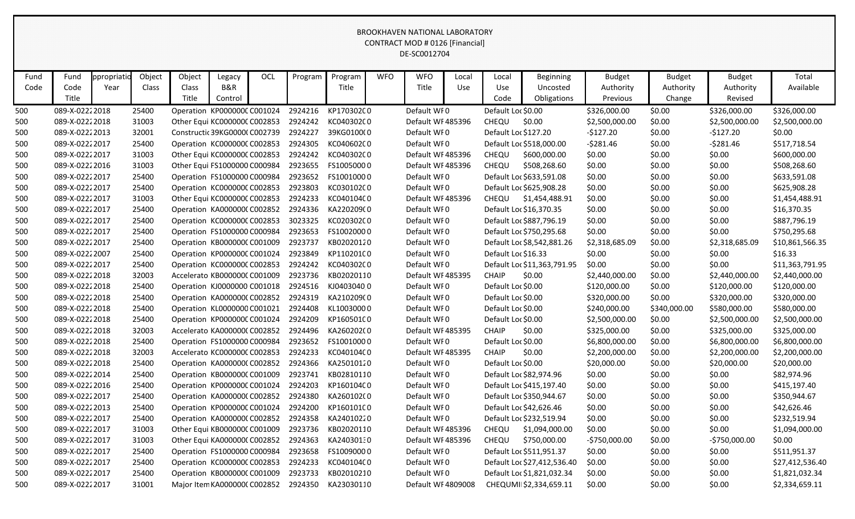|      |                 |             |        |                                      |         |     |         |            |            | <b>BROOKHAVEN NATIONAL LABORATORY</b><br><b>CONTRACT MOD # 0126 [Financial]</b><br>DE-SC0012704 |       |                     |                             |                |               |                |                 |
|------|-----------------|-------------|--------|--------------------------------------|---------|-----|---------|------------|------------|-------------------------------------------------------------------------------------------------|-------|---------------------|-----------------------------|----------------|---------------|----------------|-----------------|
| Fund | Fund            | ppropriatio | Object | Object                               | Legacy  | OCL | Program | Program    | <b>WFO</b> | <b>WFO</b>                                                                                      | Local | Local               | <b>Beginning</b>            | <b>Budget</b>  | <b>Budget</b> | <b>Budget</b>  | Total           |
| Code | Code            | Year        | Class  | Class                                | B&R     |     |         | Title      |            | Title                                                                                           | Use   | Use                 | Uncosted                    | Authority      | Authority     | Authority      | Available       |
|      | Title           |             |        | Title                                | Control |     |         |            |            |                                                                                                 |       | Code                | Obligations                 | Previous       | Change        | Revised        |                 |
| 500  | 089-X-02222018  |             | 25400  | Operation KP000000CC001024           |         |     | 2924216 | KP170302C0 |            | Default WF0                                                                                     |       | Default Loc \$0.00  |                             | \$326,000.00   | \$0.00        | \$326,000.00   | \$326,000.00    |
| 500  | 089-X-0222 2018 |             | 31003  | Other Equi KC000000C C002853         |         |     | 2924242 | KC040302C0 |            | Default WF485396                                                                                |       | CHEQU               | \$0.00                      | \$2,500,000.00 | \$0.00        | \$2,500,000.00 | \$2,500,000.00  |
| 500  | 089-X-02222013  |             | 32001  | Constructic 39KG0000(C002739         |         |     | 2924227 | 39KG0100(0 |            | Default WF0                                                                                     |       |                     | Default Loc \$127.20        | $-$127.20$     | \$0.00        | $-5127.20$     | \$0.00          |
| 500  | 089-X-0222 2017 |             | 25400  | Operation KC000000C C002853          |         |     | 2924305 | KC04060200 |            | Default WFO                                                                                     |       |                     | Default Loc \$518,000.00    | $-5281.46$     | \$0.00        | $-5281.46$     | \$517,718.54    |
| 500  | 089-X-0222 2017 |             | 31003  | Other Equi KC000000C C002853         |         |     | 2924242 | KC04030200 |            | Default WF485396                                                                                |       | CHEQU               | \$600,000.00                | \$0.00         | \$0.00        | \$0.00         | \$600,000.00    |
| 500  | 089-X-0222 2016 |             | 31003  | Other Equi FS1000000 C000984         |         |     | 2923655 | FS10050000 |            | Default WF485396                                                                                |       | CHEQU               | \$508,268.60                | \$0.00         | \$0.00        | \$0.00         | \$508,268.60    |
| 500  | 089-X-0222 2017 |             | 25400  | Operation FS1000000 C000984          |         |     | 2923652 | FS10010000 |            | Default WF0                                                                                     |       |                     | Default Loc \$633,591.08    | \$0.00         | \$0.00        | \$0.00         | \$633,591.08    |
| 500  | 089-X-02222017  |             | 25400  | Operation KC000000CC002853           |         |     | 2923803 | KC03010200 |            | Default WF0                                                                                     |       |                     | Default Loc \$625,908.28    | \$0.00         | \$0.00        | \$0.00         | \$625,908.28    |
| 500  | 089-X-0222 2017 |             | 31003  | Other Equi KC000000C C002853         |         |     | 2924233 | KC04010400 |            | Default WF485396                                                                                |       | CHEQU               | \$1,454,488.91              | \$0.00         | \$0.00        | \$0.00         | \$1,454,488.91  |
| 500  | 089-X-0222 2017 |             | 25400  | Operation KA000000C C002852          |         |     | 2924336 | KA220209(0 |            | Default WF0                                                                                     |       |                     | Default Loc \$16,370.35     | \$0.00         | \$0.00        | \$0.00         | \$16,370.35     |
| 500  | 089-X-0222 2017 |             | 25400  | Operation KC000000C C002853          |         |     | 3023325 | KC02030200 |            | Default WF0                                                                                     |       |                     | Default Loc \$887,796.19    | \$0.00         | \$0.00        | \$0.00         | \$887,796.19    |
| 500  | 089-X-0222 2017 |             | 25400  | Operation FS1000000 C000984          |         |     | 2923653 | FS10020000 |            | Default WF0                                                                                     |       |                     | Default Loc \$750,295.68    | \$0.00         | \$0.00        | \$0.00         | \$750,295.68    |
| 500  | 089-X-0222 2017 |             | 25400  | Operation KB000000CC001009           |         |     | 2923737 | KB02020120 |            | Default WF0                                                                                     |       |                     | Default Loc \$8,542,881.26  | \$2,318,685.09 | \$0.00        | \$2,318,685.09 | \$10,861,566.35 |
| 500  | 089-X-0222 2007 |             | 25400  | Operation KP000000CC001024           |         |     | 2923849 | KP110201C0 |            | Default WFO                                                                                     |       | Default Loc \$16.33 |                             | \$0.00         | \$0.00        | \$0.00         | \$16.33         |
| 500  | 089-X-0222 2017 |             | 25400  | Operation KC000000CC002853           |         |     | 2924242 | KC04030200 |            | Default WF0                                                                                     |       |                     | Default Loc \$11,363,791.95 | \$0.00         | \$0.00        | \$0.00         | \$11,363,791.95 |
| 500  | 089-X-0222 2018 |             | 32003  | Accelerato KB000000C C001009         |         |     | 2923736 | KB02020110 |            | Default WF485395                                                                                |       | <b>CHAIP</b>        | \$0.00                      | \$2,440,000.00 | \$0.00        | \$2,440,000.00 | \$2,440,000.00  |
| 500  | 089-X-0222 2018 |             | 25400  | Operation KJ0000000 C001018          |         |     | 2924516 | KJ04030400 |            | Default WF0                                                                                     |       | Default Loc \$0.00  |                             | \$120,000.00   | \$0.00        | \$120,000.00   | \$120,000.00    |
| 500  | 089-X-0222 2018 |             | 25400  | Operation KA000000C C002852          |         |     | 2924319 | KA210209(0 |            | Default WF0                                                                                     |       | Default Loc \$0.00  |                             | \$320,000.00   | \$0.00        | \$320,000.00   | \$320,000.00    |
| 500  | 089-X-0222 2018 |             | 25400  | Operation KL0000000 C001021          |         |     | 2924408 | KL10030000 |            | Default WFO                                                                                     |       | Default Loc \$0.00  |                             | \$240,000.00   | \$340,000.00  | \$580,000.00   | \$580,000.00    |
| 500  | 089-X-0222 2018 |             | 25400  | Operation KP000000CC001024           |         |     | 2924209 | KP160501C0 |            | Default WF0                                                                                     |       | Default Loc \$0.00  |                             | \$2,500,000.00 | \$0.00        | \$2,500,000.00 | \$2,500,000.00  |
| 500  | 089-X-0222 2018 |             | 32003  | Accelerato KA000000C C002852         |         |     | 2924496 | KA26020200 |            | Default WF485395                                                                                |       | <b>CHAIP</b>        | \$0.00                      | \$325,000.00   | \$0.00        | \$325,000.00   | \$325,000.00    |
| 500  | 089-X-0222 2018 |             | 25400  | Operation FS1000000 C000984          |         |     | 2923652 | FS10010000 |            | Default WF0                                                                                     |       | Default Loc \$0.00  |                             | \$6,800,000.00 | \$0.00        | \$6,800,000.00 | \$6,800,000.00  |
| 500  | 089-X-0222 2018 |             | 32003  | Accelerato KC000000CC002853          |         |     | 2924233 | KC04010400 |            | Default WF485395                                                                                |       | <b>CHAIP</b>        | \$0.00                      | \$2,200,000.00 | \$0.00        | \$2,200,000.00 | \$2,200,000.00  |
| 500  | 089-X-02222018  |             | 25400  | Operation KA000000C C002852          |         |     | 2924366 | KA25010120 |            | Default WFO                                                                                     |       | Default Loc \$0.00  |                             | \$20,000.00    | \$0.00        | \$20,000.00    | \$20,000.00     |
| 500  | 089-X-0222 2014 |             | 25400  | Operation KB000000C C001009          |         |     | 2923741 | KB02810110 |            | Default WFO                                                                                     |       |                     | Default Loc \$82,974.96     | \$0.00         | \$0.00        | \$0.00         | \$82,974.96     |
| 500  | 089-X-02222016  |             | 25400  | Operation KP000000CC001024           |         |     | 2924203 | KP160104C0 |            | Default WF0                                                                                     |       |                     | Default Loc \$415,197.40    | \$0.00         | \$0.00        | \$0.00         | \$415,197.40    |
| 500  | 089-X-02222017  |             | 25400  | Operation KA000000CC002852           |         |     | 2924380 | KA260102(0 |            | Default WF0                                                                                     |       |                     | Default Loc \$350,944.67    | \$0.00         | \$0.00        | \$0.00         | \$350,944.67    |
| 500  | 089-X-02222013  |             | 25400  | Operation KP000000CC001024           |         |     | 2924200 | KP160101C0 |            | Default WF0                                                                                     |       |                     | Default Loc \$42,626.46     | \$0.00         | \$0.00        | \$0.00         | \$42,626.46     |
| 500  | 089-X-02222017  |             | 25400  | Operation KA000000C C002852          |         |     | 2924358 | KA24010220 |            | Default WF0                                                                                     |       |                     | Default Loc \$232,519.94    | \$0.00         | \$0.00        | \$0.00         | \$232,519.94    |
| 500  | 089-X-02222017  |             | 31003  | Other Equi KB000000C C001009         |         |     | 2923736 | KB02020110 |            | Default WF485396                                                                                |       | CHEQU               | \$1,094,000.00              | \$0.00         | \$0.00        | \$0.00         | \$1,094,000.00  |
| 500  | 089-X-02222017  |             | 31003  | Other Equi KA000000C C002852         |         |     | 2924363 | KA24030130 |            | Default WF485396                                                                                |       | CHEQU               | \$750,000.00                | $-5750,000.00$ | \$0.00        | -\$750,000.00  | \$0.00          |
| 500  | 089-X-02222017  |             | 25400  | Operation FS1000000 C000984          |         |     | 2923658 | FS10090000 |            | Default WFO                                                                                     |       |                     | Default Loc \$511,951.37    | \$0.00         | \$0.00        | \$0.00         | \$511,951.37    |
| 500  | 089-X-02222017  |             | 25400  | Operation KC000000CC002853           |         |     | 2924233 | KC04010400 |            | Default WFO                                                                                     |       |                     | Default Loc \$27,412,536.40 | \$0.00         | \$0.00        | \$0.00         | \$27,412,536.40 |
| 500  | 089-X-0222 2017 |             | 25400  | Operation KB000000C C001009          |         |     | 2923733 | KB02010210 |            | Default WFO                                                                                     |       |                     | Default Loc \$1,821,032.34  | \$0.00         | \$0.00        | \$0.00         | \$1,821,032.34  |
| 500  | 089-X-02222017  |             | 31001  | Major Item KA0000000 C002852 2924350 |         |     |         | KA23030110 |            | Default WF4809008                                                                               |       |                     | CHEQUMII \$2,334,659.11     | \$0.00         | \$0.00        | \$0.00         | \$2,334,659.11  |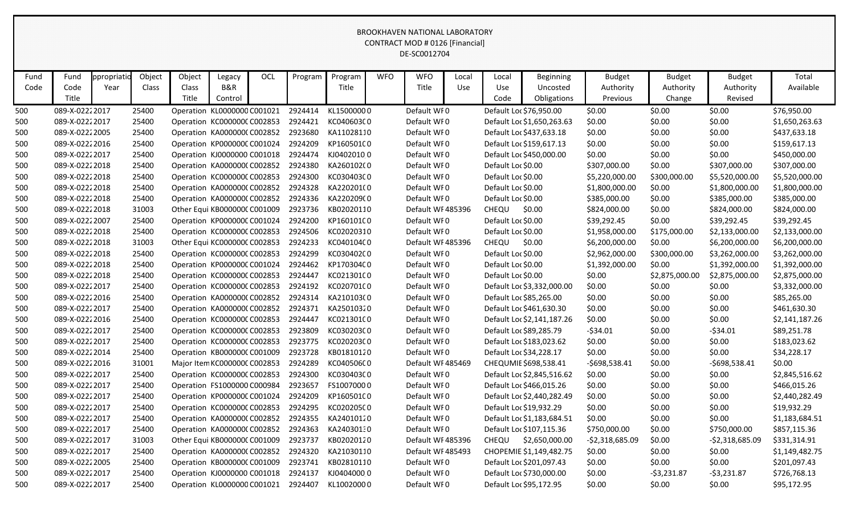|      |                 |             |        |                              |         |     |         |            |            | <b>BROOKHAVEN NATIONAL LABORATORY</b><br>CONTRACT MOD # 0126 [Financial]<br>DE-SC0012704 |       |                         |                            |                  |                |                 |                |
|------|-----------------|-------------|--------|------------------------------|---------|-----|---------|------------|------------|------------------------------------------------------------------------------------------|-------|-------------------------|----------------------------|------------------|----------------|-----------------|----------------|
| Fund | Fund            | ppropriatio | Object | Object                       | Legacy  | OCL | Program | Program    | <b>WFO</b> | <b>WFO</b>                                                                               | Local | Local                   | <b>Beginning</b>           | <b>Budget</b>    | <b>Budget</b>  | <b>Budget</b>   | Total          |
| Code | Code            | Year        | Class  | Class                        | B&R     |     |         | Title      |            | Title                                                                                    | Use   | Use                     | Uncosted                   | Authority        | Authority      | Authority       | Available      |
|      | Title           |             |        | Title                        | Control |     |         |            |            |                                                                                          |       | Code                    | Obligations                | Previous         | Change         | Revised         |                |
| 500  | 089-X-02222017  |             | 25400  | Operation KL0000000 C001021  |         |     | 2924414 | KL15000000 |            | Default WF0                                                                              |       | Default Loc \$76,950.00 |                            | \$0.00           | \$0.00         | \$0.00          | \$76,950.00    |
| 500  | 089-X-0222 2017 |             | 25400  | Operation KC000000C C002853  |         |     | 2924421 | KC040603C0 |            | Default WF0                                                                              |       |                         | Default Loc \$1,650,263.63 | \$0.00           | \$0.00         | \$0.00          | \$1,650,263.63 |
| 500  | 089-X-02222005  |             | 25400  | Operation KA000000C C002852  |         |     | 2923680 | KA11028110 |            | Default WF0                                                                              |       |                         | Default Loc \$437,633.18   | \$0.00           | \$0.00         | \$0.00          | \$437,633.18   |
| 500  | 089-X-02222016  |             | 25400  | Operation KP000000CC001024   |         |     | 2924209 | KP160501C0 |            | Default WFO                                                                              |       |                         | Default Loc \$159,617.13   | \$0.00           | \$0.00         | \$0.00          | \$159,617.13   |
| 500  | 089-X-02222017  |             | 25400  | Operation KJ0000000 C001018  |         |     | 2924474 | KJ04020100 |            | Default WF0                                                                              |       |                         | Default Loc \$450,000.00   | \$0.00           | \$0.00         | \$0.00          | \$450,000.00   |
| 500  | 089-X-02222018  |             | 25400  | Operation KA000000C C002852  |         |     | 2924380 | KA260102(0 |            | Default WF0                                                                              |       | Default Loc \$0.00      |                            | \$307,000.00     | \$0.00         | \$307,000.00    | \$307,000.00   |
| 500  | 089-X-02222018  |             | 25400  | Operation KC000000CC002853   |         |     | 2924300 | KC030403C0 |            | Default WF0                                                                              |       | Default Loc \$0.00      |                            | \$5,220,000.00   | \$300,000.00   | \$5,520,000.00  | \$5,520,000.00 |
| 500  | 089-X-02222018  |             | 25400  | Operation KA000000C C002852  |         |     | 2924328 | KA220201(0 |            | Default WF0                                                                              |       | Default Loc \$0.00      |                            | \$1,800,000.00   | \$0.00         | \$1,800,000.00  | \$1,800,000.00 |
| 500  | 089-X-02222018  |             | 25400  | Operation KA000000C C002852  |         |     | 2924336 | KA220209(0 |            | Default WFO                                                                              |       | Default Loc \$0.00      |                            | \$385,000.00     | \$0.00         | \$385,000.00    | \$385,000.00   |
| 500  | 089-X-02222018  |             | 31003  | Other Equi KB000000C C001009 |         |     | 2923736 | KB02020110 |            | Default WF485396                                                                         |       | CHEQU                   | \$0.00                     | \$824,000.00     | \$0.00         | \$824,000.00    | \$824,000.00   |
| 500  | 089-X-0222 2007 |             | 25400  | Operation KP000000CC001024   |         |     | 2924200 | KP160101C0 |            | Default WF0                                                                              |       | Default Loc \$0.00      |                            | \$39,292.45      | \$0.00         | \$39,292.45     | \$39,292.45    |
| 500  | 089-X-02222018  |             | 25400  | Operation KC000000CC002853   |         |     | 2924506 | KC02020310 |            | Default WF0                                                                              |       | Default Loc \$0.00      |                            | \$1,958,000.00   | \$175,000.00   | \$2,133,000.00  | \$2,133,000.00 |
| 500  | 089-X-02222018  |             | 31003  | Other Equi KC000000C C002853 |         |     | 2924233 | KC04010400 |            | Default WF485396                                                                         |       | CHEQU                   | \$0.00                     | \$6,200,000.00   | \$0.00         | \$6,200,000.00  | \$6,200,000.00 |
| 500  | 089-X-02222018  |             | 25400  | Operation KC000000C C002853  |         |     | 2924299 | KC030402C0 |            | Default WFO                                                                              |       | Default Loc \$0.00      |                            | \$2,962,000.00   | \$300,000.00   | \$3,262,000.00  | \$3,262,000.00 |
| 500  | 089-X-02222018  |             | 25400  | Operation KP000000CC001024   |         |     | 2924462 | KP170304C0 |            | Default WF0                                                                              |       | Default Loc \$0.00      |                            | \$1,392,000.00   | \$0.00         | \$1,392,000.00  | \$1,392,000.00 |
| 500  | 089-X-02222018  |             | 25400  | Operation KC000000C C002853  |         |     | 2924447 | KC02130100 |            | Default WF0                                                                              |       | Default Loc \$0.00      |                            | \$0.00           | \$2,875,000.00 | \$2,875,000.00  | \$2,875,000.00 |
| 500  | 089-X-0222 2017 |             | 25400  | Operation KC000000CC002853   |         |     | 2924192 | KC02070100 |            | Default WF0                                                                              |       |                         | Default Loc \$3,332,000.00 | \$0.00           | \$0.00         | \$0.00          | \$3,332,000.00 |
| 500  | 089-X-02222016  |             | 25400  | Operation KA000000C C002852  |         |     | 2924314 | KA210103(0 |            | Default WF0                                                                              |       | Default Loc \$85,265.00 |                            | \$0.00           | \$0.00         | \$0.00          | \$85,265.00    |
| 500  | 089-X-0222 2017 |             | 25400  | Operation KA000000C C002852  |         |     | 2924371 | KA25010320 |            | Default WF0                                                                              |       |                         | Default Loc \$461,630.30   | \$0.00           | \$0.00         | \$0.00          | \$461,630.30   |
| 500  | 089-X-02222016  |             | 25400  | Operation KC000000CC002853   |         |     | 2924447 | KC02130100 |            | Default WF0                                                                              |       |                         | Default Loc \$2,141,187.26 | \$0.00           | \$0.00         | \$0.00          | \$2,141,187.26 |
| 500  | 089-X-02222017  |             | 25400  | Operation KC000000C C002853  |         |     | 2923809 | KC030203C0 |            | Default WF0                                                                              |       | Default Loc \$89,285.79 |                            | $-534.01$        | \$0.00         | $-534.01$       | \$89,251.78    |
| 500  | 089-X-02222017  |             | 25400  | Operation KC000000C C002853  |         |     | 2923775 | KC020203C0 |            | Default WF0                                                                              |       |                         | Default Loc \$183,023.62   | \$0.00           | \$0.00         | \$0.00          | \$183,023.62   |
| 500  | 089-X-02222014  |             | 25400  | Operation KB000000C C001009  |         |     | 2923728 | KB01810120 |            | Default WF0                                                                              |       | Default Loc \$34,228.17 |                            | \$0.00           | \$0.00         | \$0.00          | \$34,228.17    |
| 500  | 089-X-02222016  |             | 31001  | Major Item KC000000C C002853 |         |     | 2924289 | KC04050600 |            | Default WF485469                                                                         |       |                         | CHEQUMIE \$698,538.41      | -\$698,538.41    | \$0.00         | $-5698,538.41$  | \$0.00         |
| 500  | 089-X-02222017  |             | 25400  | Operation KC000000C C002853  |         |     | 2924300 | KC030403C0 |            | Default WF0                                                                              |       |                         | Default Loc \$2,845,516.62 | \$0.00           | \$0.00         | \$0.00          | \$2,845,516.62 |
| 500  | 089-X-02222017  |             | 25400  | Operation FS1000000 C000984  |         |     | 2923657 | FS10070000 |            | Default WF0                                                                              |       |                         | Default Loc \$466,015.26   | \$0.00           | \$0.00         | \$0.00          | \$466,015.26   |
| 500  | 089-X-02222017  |             | 25400  | Operation KP000000CC001024   |         |     | 2924209 | KP160501C0 |            | Default WF0                                                                              |       |                         | Default Loc \$2,440,282.49 | \$0.00           | \$0.00         | \$0.00          | \$2,440,282.49 |
| 500  | 089-X-02222017  |             | 25400  | Operation KC000000C C002853  |         |     | 2924295 | KC020205C0 |            | Default WFO                                                                              |       | Default Loc \$19,932.29 |                            | \$0.00           | \$0.00         | \$0.00          | \$19,932.29    |
| 500  | 089-X-02222017  |             | 25400  | Operation KA000000C C002852  |         |     | 2924355 | KA24010120 |            | Default WFO                                                                              |       |                         | Default Loc \$1,183,684.51 | \$0.00           | \$0.00         | \$0.00          | \$1,183,684.51 |
| 500  | 089-X-02222017  |             | 25400  | Operation KA000000C C002852  |         |     | 2924363 | KA24030130 |            | Default WFO                                                                              |       |                         | Default Loc \$107,115.36   | \$750,000.00     | \$0.00         | \$750,000.00    | \$857,115.36   |
| 500  | 089-X-02222017  |             | 31003  | Other Equi KB000000CC001009  |         |     | 2923737 | KB02020120 |            | Default WF485396                                                                         |       | CHEQU                   | \$2,650,000.00             | $-52,318,685.09$ | \$0.00         | -\$2,318,685.09 | \$331,314.91   |
| 500  | 089-X-02222017  |             | 25400  | Operation KA000000C C002852  |         |     | 2924320 | KA21030110 |            | Default WF485493                                                                         |       |                         | CHOPEMIE \$1,149,482.75    | \$0.00           | \$0.00         | \$0.00          | \$1,149,482.75 |
| 500  | 089-X-02222005  |             | 25400  | Operation KB000000C C001009  |         |     | 2923741 | KB02810110 |            | Default WF0                                                                              |       |                         | Default Loc \$201,097.43   | \$0.00           | \$0.00         | \$0.00          | \$201,097.43   |
| 500  | 089-X-02222017  |             | 25400  | Operation KJ0000000 C001018  |         |     | 2924137 | KJ04040000 |            | Default WF0                                                                              |       |                         | Default Loc \$730,000.00   | \$0.00           | $-53,231.87$   | -\$3,231.87     | \$726,768.13   |
| 500  | 089-X-02222017  |             | 25400  | Operation KL0000000 C001021  |         |     | 2924407 | KL10020000 |            | Default WF0                                                                              |       | Default Loc \$95,172.95 |                            | \$0.00           | \$0.00         | \$0.00          | \$95,172.95    |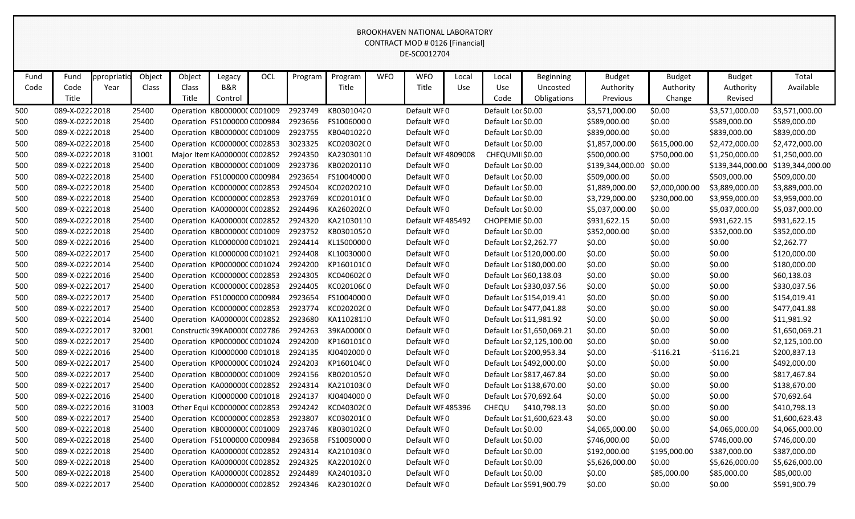|      |                 |            |        |                               |         |            |         |                          |            | <b>BROOKHAVEN NATIONAL LABORATORY</b><br>CONTRACT MOD # 0126 [Financial]<br>DE-SC0012704 |       |                    |                            |                  |                |                  |                  |
|------|-----------------|------------|--------|-------------------------------|---------|------------|---------|--------------------------|------------|------------------------------------------------------------------------------------------|-------|--------------------|----------------------------|------------------|----------------|------------------|------------------|
| Fund | Fund            | ppropriati | Object | Object                        | Legacy  | <b>OCL</b> | Program | Program                  | <b>WFO</b> | <b>WFO</b>                                                                               | Local | Local              | <b>Beginning</b>           | <b>Budget</b>    | <b>Budget</b>  | <b>Budget</b>    | Total            |
| Code | Code            | Year       | Class  | Class                         | B&R     |            |         | Title                    |            | Title                                                                                    | Use   | Use                | Uncosted                   | Authority        | Authority      | Authority        | Available        |
|      | Title           |            |        | Title                         | Control |            |         |                          |            |                                                                                          |       | Code               | Obligations                | Previous         | Change         | Revised          |                  |
| 500  | 089-X-0222 2018 |            | 25400  | Operation KB000000C C001009   |         |            | 2923749 | KB03010420               |            | Default WF0                                                                              |       | Default Loc \$0.00 |                            | \$3,571,000.00   | \$0.00         | \$3,571,000.00   | \$3,571,000.00   |
| 500  | 089-X-0222 2018 |            | 25400  | Operation FS1000000 C000984   |         |            | 2923656 | FS10060000               |            | Default WF0                                                                              |       | Default Loc \$0.00 |                            | \$589,000.00     | \$0.00         | \$589,000.00     | \$589,000.00     |
| 500  | 089-X-0222 2018 |            | 25400  | Operation KB000000C C001009   |         |            | 2923755 | KB04010220               |            | Default WF0                                                                              |       | Default Loc \$0.00 |                            | \$839,000.00     | \$0.00         | \$839,000.00     | \$839,000.00     |
| 500  | 089-X-0222 2018 |            | 25400  | Operation KC000000CC002853    |         |            | 3023325 | KC02030200               |            | Default WF0                                                                              |       | Default Loc \$0.00 |                            | \$1,857,000.00   | \$615,000.00   | \$2,472,000.00   | \$2,472,000.00   |
| 500  | 089-X-02222018  |            | 31001  | Major Item KA000000C C002852  |         |            | 2924350 | KA23030110               |            | Default WF 4809008                                                                       |       | CHEQUMII \$0.00    |                            | \$500,000.00     | \$750,000.00   | \$1,250,000.00   | \$1,250,000.00   |
| 500  | 089-X-0222 2018 |            | 25400  | Operation KB000000C C001009   |         |            | 2923736 | KB02020110               |            | Default WF0                                                                              |       | Default Loc \$0.00 |                            | \$139,344,000.00 | \$0.00         | \$139,344,000.00 | \$139,344,000.00 |
| 500  | 089-X-0222 2018 |            | 25400  | Operation FS1000000 C000984   |         |            | 2923654 | FS10040000               |            | Default WF0                                                                              |       | Default Loc \$0.00 |                            | \$509,000.00     | \$0.00         | \$509,000.00     | \$509,000.00     |
| 500  | 089-X-0222 2018 |            | 25400  | Operation KC000000CC002853    |         |            | 2924504 | KC02020210               |            | Default WFO                                                                              |       | Default Loc \$0.00 |                            | \$1,889,000.00   | \$2,000,000.00 | \$3,889,000.00   | \$3,889,000.00   |
| 500  | 089-X-0222 2018 |            | 25400  | Operation KC000000CC002853    |         |            | 2923769 | KC020101(0               |            | Default WF0                                                                              |       | Default Loc \$0.00 |                            | \$3,729,000.00   | \$230,000.00   | \$3,959,000.00   | \$3,959,000.00   |
| 500  | 089-X-02222018  |            | 25400  | Operation KA000000C C002852   |         |            | 2924496 | KA260202(0               |            | Default WF0                                                                              |       | Default Loc \$0.00 |                            | \$5,037,000.00   | \$0.00         | \$5,037,000.00   | \$5,037,000.00   |
| 500  | 089-X-0222 2018 |            | 25400  | Operation KA000000C C002852   |         |            | 2924320 | KA21030110               |            | Default WF485492                                                                         |       | CHOPEMIE \$0.00    |                            | \$931,622.15     | \$0.00         | \$931,622.15     | \$931,622.15     |
| 500  | 089-X-02222018  |            | 25400  | Operation KB000000C C001009   |         |            | 2923752 | KB03010520               |            | Default WF0                                                                              |       | Default Loc \$0.00 |                            | \$352,000.00     | \$0.00         | \$352,000.00     | \$352,000.00     |
| 500  | 089-X-02222016  |            | 25400  | Operation KL0000000 C001021   |         |            | 2924414 | KL15000000               |            | Default WF0                                                                              |       |                    | Default Loc \$2,262.77     | \$0.00           | \$0.00         | \$0.00           | \$2,262.77       |
| 500  | 089-X-0222 2017 |            | 25400  | Operation KL0000000 C001021   |         |            | 2924408 | KL10030000               |            | Default WF0                                                                              |       |                    | Default Loc \$120,000.00   | \$0.00           | \$0.00         | \$0.00           | \$120,000.00     |
| 500  | 089-X-02222014  |            | 25400  | Operation KP000000CC001024    |         |            | 2924200 | KP160101C0               |            | Default WF0                                                                              |       |                    | Default Loc \$180,000.00   | \$0.00           | \$0.00         | \$0.00           | \$180,000.00     |
| 500  | 089-X-02222016  |            | 25400  | Operation KC000000C C002853   |         |            | 2924305 | KC040602C0               |            | Default WF0                                                                              |       |                    | Default Loc \$60,138.03    | \$0.00           | \$0.00         | \$0.00           | \$60,138.03      |
| 500  | 089-X-0222 2017 |            | 25400  | Operation KC000000CC002853    |         |            | 2924405 | KC020106C0               |            | Default WF0                                                                              |       |                    | Default Loc \$330,037.56   | \$0.00           | \$0.00         | \$0.00           | \$330,037.56     |
| 500  | 089-X-0222 2017 |            | 25400  | Operation FS1000000 C000984   |         |            | 2923654 | FS10040000               |            | Default WF0                                                                              |       |                    | Default Loc \$154,019.41   | \$0.00           | \$0.00         | \$0.00           | \$154,019.41     |
| 500  | 089-X-0222 2017 |            | 25400  | Operation KC000000CC002853    |         |            | 2923774 | KC02020200               |            | Default WF0                                                                              |       |                    | Default Loc \$477,041.88   | \$0.00           | \$0.00         | \$0.00           | \$477,041.88     |
| 500  | 089-X-0222 2014 |            | 25400  | Operation KA000000C C002852   |         |            | 2923680 | KA11028110               |            | Default WF0                                                                              |       |                    | Default Loc \$11,981.92    | \$0.00           | \$0.00         | \$0.00           | \$11,981.92      |
| 500  | 089-X-0222 2017 |            | 32001  | Constructic 39KA0000C C002786 |         |            | 2924263 | 39KA000000               |            | Default WF0                                                                              |       |                    | Default Loc \$1,650,069.21 | \$0.00           | \$0.00         | \$0.00           | \$1,650,069.21   |
| 500  | 089-X-02222017  |            | 25400  | Operation KP000000C C001024   |         |            | 2924200 | KP160101C0               |            | Default WF0                                                                              |       |                    | Default Loc \$2,125,100.00 | \$0.00           | \$0.00         | \$0.00           | \$2,125,100.00   |
| 500  | 089-X-02222016  |            | 25400  | Operation KJ0000000 C001018   |         |            | 2924135 | KJ04020000               |            | Default WF0                                                                              |       |                    | Default Loc \$200,953.34   | \$0.00           | $-5116.21$     | $-5116.21$       | \$200,837.13     |
| 500  | 089-X-0222 2017 |            | 25400  | Operation KP000000CC001024    |         |            | 2924203 | KP160104C0               |            | Default WFO                                                                              |       |                    | Default Loc \$492,000.00   | \$0.00           | \$0.00         | \$0.00           | \$492,000.00     |
| 500  | 089-X-02222017  |            | 25400  | Operation KB000000CC001009    |         |            | 2924156 | KB02010520               |            | Default WF0                                                                              |       |                    | Default Loc \$817,467.84   | \$0.00           | \$0.00         | \$0.00           | \$817,467.84     |
| 500  | 089-X-0222 2017 |            | 25400  | Operation KA0000000 C002852   |         |            | 2924314 | KA210103(0               |            | Default WFO                                                                              |       |                    | Default Loc \$138,670.00   | \$0.00           | \$0.00         | \$0.00           | \$138,670.00     |
| 500  | 089-X-02222016  |            | 25400  | Operation KJ0000000 C001018   |         |            | 2924137 | KJ04040000               |            | Default WF0                                                                              |       |                    | Default Loc \$70,692.64    | \$0.00           | \$0.00         | \$0.00           | \$70,692.64      |
| 500  | 089-X-02222016  |            | 31003  | Other Equi KC000000C C002853  |         |            | 2924242 | KC040302C0               |            | Default WF485396                                                                         |       |                    | CHEQU \$410,798.13         | \$0.00           | \$0.00         | \$0.00           | \$410,798.13     |
| 500  | 089-X-02222017  |            | 25400  | Operation KC000000CC002853    |         |            | 2923807 | KC03020100               |            | Default WF0                                                                              |       |                    | Default Loc \$1,600,623.43 | \$0.00           | \$0.00         | \$0.00           | \$1,600,623.43   |
| 500  | 089-X-0222 2018 |            | 25400  | Operation KB000000CC001009    |         |            | 2923746 | KB030102C0               |            | Default WF0                                                                              |       | Default Loc \$0.00 |                            | \$4,065,000.00   | \$0.00         | \$4,065,000.00   | \$4,065,000.00   |
| 500  | 089-X-02222018  |            | 25400  | Operation FS1000000 C000984   |         |            | 2923658 | FS10090000               |            | Default WFO                                                                              |       | Default Loc \$0.00 |                            | \$746,000.00     | \$0.00         | \$746,000.00     | \$746,000.00     |
| 500  | 089-X-02222018  |            | 25400  | Operation KA000000C C002852   |         |            | 2924314 | KA210103(0               |            | Default WF0                                                                              |       | Default Loc \$0.00 |                            | \$192,000.00     | \$195,000.00   | \$387,000.00     | \$387,000.00     |
| 500  | 089-X-02222018  |            | 25400  | Operation KA000000C C002852   |         |            | 2924325 | KA220102(0<br>KA24010320 |            | Default WFO                                                                              |       | Default Loc \$0.00 |                            | \$5,626,000.00   | \$0.00         | \$5,626,000.00   | \$5,626,000.00   |
| 500  | 089-X-02222018  |            | 25400  | Operation KA000000C C002852   |         |            | 2924489 |                          |            | Default WF0                                                                              |       | Default Loc \$0.00 |                            | \$0.00           | \$85,000.00    | \$85,000.00      | \$85,000.00      |
| 500  | 089-X-02222017  |            | 25400  | Operation KA000000CC002852    |         |            | 2924346 | KA230102(0               |            | Default WFO                                                                              |       |                    | Default Loc \$591,900.79   | \$0.00           | \$0.00         | \$0.00           | \$591,900.79     |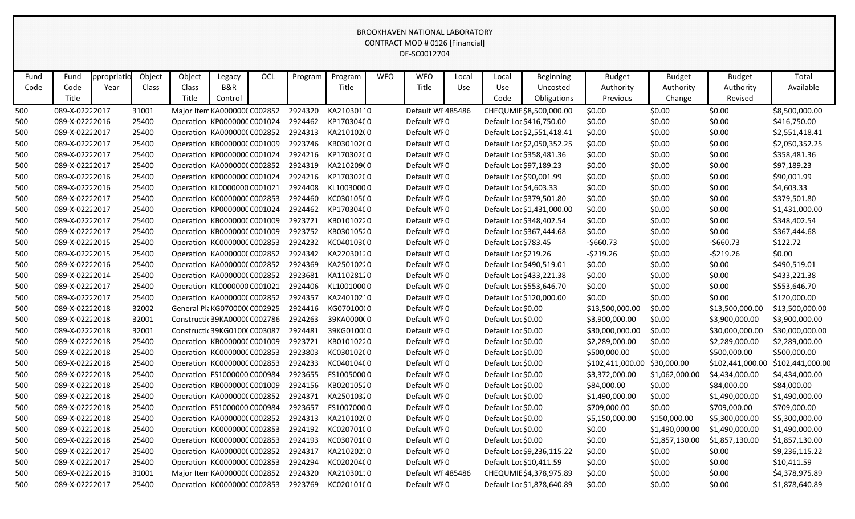|      |                 |             |        |                                    |         |     |         |            |            | <b>BROOKHAVEN NATIONAL LABORATORY</b><br>CONTRACT MOD # 0126 [Financial]<br>DE-SC0012704 |       |                      |                            |                  |                |                  |                  |
|------|-----------------|-------------|--------|------------------------------------|---------|-----|---------|------------|------------|------------------------------------------------------------------------------------------|-------|----------------------|----------------------------|------------------|----------------|------------------|------------------|
| Fund | Fund            | opropriatid | Object | Object                             | Legacy  | OCL | Program | Program    | <b>WFO</b> | <b>WFO</b>                                                                               | Local | Local                | <b>Beginning</b>           | <b>Budget</b>    | <b>Budget</b>  | <b>Budget</b>    | Total            |
| Code | Code            | Year        | Class  | Class                              | B&R     |     |         | Title      |            | Title                                                                                    | Use   | Use                  | Uncosted                   | Authority        | Authority      | Authority        | Available        |
|      | Title           |             |        | Title                              | Control |     |         |            |            |                                                                                          |       | Code                 | Obligations                | Previous         | Change         | Revised          |                  |
| 500  | 089-X-0222 2017 |             | 31001  | Major Item KA000000C C002852       |         |     | 2924320 | KA21030110 |            | Default WF485486                                                                         |       |                      | CHEQUMIE \$8,500,000.00    | \$0.00           | \$0.00         | \$0.00           | \$8,500,000.00   |
| 500  | 089-X-0222 2016 |             | 25400  | Operation KP000000CC001024         |         |     | 2924462 | KP170304C0 |            | Default WFO                                                                              |       |                      | Default Loc \$416,750.00   | \$0.00           | \$0.00         | \$0.00           | \$416,750.00     |
| 500  | 089-X-0222 2017 |             | 25400  | Operation KA000000C C002852        |         |     | 2924313 | KA210102(0 |            | Default WF0                                                                              |       |                      | Default Loc \$2,551,418.41 | \$0.00           | \$0.00         | \$0.00           | \$2,551,418.41   |
| 500  | 089-X-0222 2017 |             | 25400  | Operation KB000000C C001009        |         |     | 2923746 | KB030102C0 |            | Default WF0                                                                              |       |                      | Default Loc \$2,050,352.25 | \$0.00           | \$0.00         | \$0.00           | \$2,050,352.25   |
| 500  | 089-X-0222 2017 |             | 25400  | Operation KP000000CC001024         |         |     | 2924216 | KP170302C0 |            | Default WF0                                                                              |       |                      | Default Loc \$358,481.36   | \$0.00           | \$0.00         | \$0.00           | \$358,481.36     |
| 500  | 089-X-0222 2017 |             | 25400  | Operation KA000000C C002852        |         |     | 2924319 | KA210209(0 |            | Default WF0                                                                              |       |                      | Default Loc \$97,189.23    | \$0.00           | \$0.00         | \$0.00           | \$97,189.23      |
| 500  | 089-X-02222016  |             | 25400  | Operation KP000000CC001024         |         |     | 2924216 | KP170302C0 |            | Default WF0                                                                              |       |                      | Default Loc \$90,001.99    | \$0.00           | \$0.00         | \$0.00           | \$90,001.99      |
| 500  | 089-X-02222016  |             | 25400  | Operation KL0000000 C001021        |         |     | 2924408 | KL10030000 |            | Default WF0                                                                              |       |                      | Default Loc \$4,603.33     | \$0.00           | \$0.00         | \$0.00           | \$4,603.33       |
| 500  | 089-X-0222 2017 |             | 25400  | Operation KC000000C C002853        |         |     | 2924460 | KC03010500 |            | Default WF0                                                                              |       |                      | Default Loc \$379,501.80   | \$0.00           | \$0.00         | \$0.00           | \$379,501.80     |
| 500  | 089-X-0222 2017 |             | 25400  | Operation KP000000CC001024         |         |     | 2924462 | KP170304C0 |            | Default WF0                                                                              |       |                      | Default Loc \$1,431,000.00 | \$0.00           | \$0.00         | \$0.00           | \$1,431,000.00   |
| 500  | 089-X-0222 2017 |             | 25400  | Operation KB000000C C001009        |         |     | 2923721 | KB01010220 |            | Default WF0                                                                              |       |                      | Default Loc \$348,402.54   | \$0.00           | \$0.00         | \$0.00           | \$348,402.54     |
| 500  | 089-X-0222 2017 |             | 25400  | Operation KB000000C C001009        |         |     | 2923752 | KB03010520 |            | Default WF0                                                                              |       |                      | Default Loc \$367,444.68   | \$0.00           | \$0.00         | \$0.00           | \$367,444.68     |
| 500  | 089-X-0222 2015 |             | 25400  | Operation KC000000CC002853         |         |     | 2924232 | KC04010300 |            | Default WF0                                                                              |       | Default Loc \$783.45 |                            | $-5660.73$       | \$0.00         | $-5660.73$       | \$122.72         |
| 500  | 089-X-0222 2015 |             | 25400  | Operation KA000000C C002852        |         |     | 2924342 | KA22030120 |            | Default WF0                                                                              |       | Default Loc \$219.26 |                            | $-5219.26$       | \$0.00         | $-5219.26$       | \$0.00           |
| 500  | 089-X-0222 2016 |             | 25400  | Operation KA0000000 C002852        |         |     | 2924369 | KA25010220 |            | Default WF0                                                                              |       |                      | Default Loc \$490,519.01   | \$0.00           | \$0.00         | \$0.00           | \$490,519.01     |
| 500  | 089-X-0222 2014 |             | 25400  | Operation KA000000C C002852        |         |     | 2923681 | KA11028120 |            | Default WF0                                                                              |       |                      | Default Loc \$433,221.38   | \$0.00           | \$0.00         | \$0.00           | \$433,221.38     |
| 500  | 089-X-0222 2017 |             | 25400  | Operation KL0000000 C001021        |         |     | 2924406 | KL10010000 |            | Default WF0                                                                              |       |                      | Default Loc \$553,646.70   | \$0.00           | \$0.00         | \$0.00           | \$553,646.70     |
| 500  | 089-X-0222 2017 |             | 25400  | Operation KA000000C C002852        |         |     | 2924357 | KA24010210 |            | Default WF0                                                                              |       |                      | Default Loc \$120,000.00   | \$0.00           | \$0.00         | \$0.00           | \$120,000.00     |
| 500  | 089-X-0222 2018 |             | 32002  | General Pla KG0700000 C002925      |         |     | 2924416 | KG070100(0 |            | Default WFO                                                                              |       | Default Loc \$0.00   |                            | \$13,500,000.00  | \$0.00         | \$13,500,000.00  | \$13,500,000.00  |
| 500  | 089-X-0222 2018 |             | 32001  | Constructic 39KA0000C C002786      |         |     | 2924263 | 39KA000000 |            | Default WF0                                                                              |       | Default Loc \$0.00   |                            | \$3,900,000.00   | \$0.00         | \$3,900,000.00   | \$3,900,000.00   |
| 500  | 089-X-02222018  |             | 32001  | Constructic 39KG0100(C003087       |         |     | 2924481 | 39KG0100(0 |            | Default WF0                                                                              |       | Default Loc \$0.00   |                            | \$30,000,000.00  | \$0.00         | \$30,000,000.00  | \$30,000,000.00  |
| 500  | 089-X-0222 2018 |             | 25400  | Operation KB000000C C001009        |         |     | 2923721 | KB01010220 |            | Default WF0                                                                              |       | Default Loc \$0.00   |                            | \$2,289,000.00   | \$0.00         | \$2,289,000.00   | \$2,289,000.00   |
| 500  | 089-X-02222018  |             | 25400  | Operation KC000000CC002853         |         |     | 2923803 | KC03010200 |            | Default WF0                                                                              |       | Default Loc \$0.00   |                            | \$500,000.00     | \$0.00         | \$500,000.00     | \$500,000.00     |
| 500  | 089-X-0222 2018 |             | 25400  | Operation KC000000CC002853         |         |     | 2924233 | KC04010400 |            | Default WF0                                                                              |       | Default Loc \$0.00   |                            | \$102,411,000.00 | \$30,000.00    | \$102,441,000.00 | \$102,441,000.00 |
| 500  | 089-X-0222 2018 |             | 25400  | Operation FS1000000 C000984        |         |     | 2923655 | FS10050000 |            | Default WFO                                                                              |       | Default Loc \$0.00   |                            | \$3,372,000.00   | \$1,062,000.00 | \$4,434,000.00   | \$4,434,000.00   |
| 500  | 089-X-02222018  |             | 25400  | Operation KB000000C C001009        |         |     | 2924156 | KB02010520 |            | Default WF0                                                                              |       | Default Loc \$0.00   |                            | \$84,000.00      | \$0.00         | \$84,000.00      | \$84,000.00      |
| 500  | 089-X-02222018  |             | 25400  | Operation KA000000CC002852 2924371 |         |     |         | KA25010320 |            | Default WF0                                                                              |       | Default Loc \$0.00   |                            | \$1,490,000.00   | \$0.00         | \$1,490,000.00   | \$1,490,000.00   |
| 500  | 089-X-02222018  |             | 25400  | Operation FS1000000 C000984        |         |     | 2923657 | FS10070000 |            | Default WF0                                                                              |       | Default Loc \$0.00   |                            | \$709,000.00     | \$0.00         | \$709,000.00     | \$709,000.00     |
| 500  | 089-X-02222018  |             | 25400  | Operation KA0000000 C002852        |         |     | 2924313 | KA210102(0 |            | Default WF0                                                                              |       | Default Loc \$0.00   |                            | \$5,150,000.00   | \$150,000.00   | \$5,300,000.00   | \$5,300,000.00   |
| 500  | 089-X-02222018  |             | 25400  | Operation KC000000CC002853         |         |     | 2924192 | KC02070100 |            | Default WF0                                                                              |       | Default Loc \$0.00   |                            | \$0.00           | \$1,490,000.00 | \$1,490,000.00   | \$1,490,000.00   |
| 500  | 089-X-02222018  |             | 25400  | Operation KC000000CC002853         |         |     | 2924193 | KC03070100 |            | Default WF0                                                                              |       | Default Loc \$0.00   |                            | \$0.00           | \$1,857,130.00 | \$1,857,130.00   | \$1,857,130.00   |
| 500  | 089-X-0222 2017 |             | 25400  | Operation KA000000CC002852 2924317 |         |     |         | KA21020210 |            | Default WF0                                                                              |       |                      | Default Loc \$9,236,115.22 | \$0.00           | \$0.00         | \$0.00           | \$9,236,115.22   |
| 500  | 089-X-0222 2017 |             | 25400  | Operation KC000000C C002853        |         |     | 2924294 | KC020204C0 |            | Default WF0                                                                              |       |                      | Default Loc \$10,411.59    | \$0.00           | \$0.00         | \$0.00           | \$10,411.59      |
| 500  | 089-X-02222016  |             | 31001  | Major Item KA000000C C002852       |         |     | 2924320 | KA21030110 |            | Default WF485486                                                                         |       |                      | CHEQUMIE \$4,378,975.89    | \$0.00           | \$0.00         | \$0.00           | \$4,378,975.89   |
| 500  | 089-X-02222017  |             | 25400  | Operation KC000000CC002853 2923769 |         |     |         | KC020101C0 |            | Default WF0                                                                              |       |                      | Default Loc \$1,878,640.89 | \$0.00           | \$0.00         | \$0.00           | \$1,878,640.89   |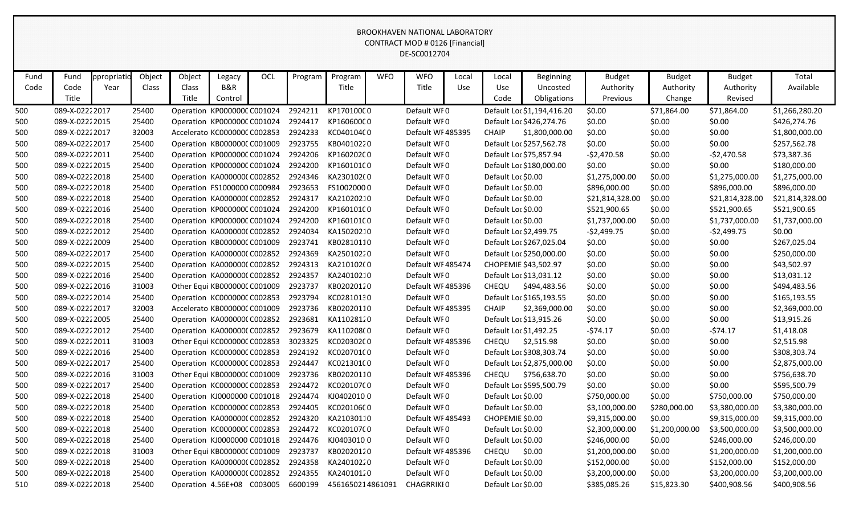|      |                |             |        |                              |         |     |         |                  |            | <b>BROOKHAVEN NATIONAL LABORATORY</b><br><b>CONTRACT MOD # 0126 [Financial]</b><br>DE-SC0012704 |       |                        |                            |                 |                |                 |                 |
|------|----------------|-------------|--------|------------------------------|---------|-----|---------|------------------|------------|-------------------------------------------------------------------------------------------------|-------|------------------------|----------------------------|-----------------|----------------|-----------------|-----------------|
|      |                |             |        |                              |         |     |         |                  |            |                                                                                                 |       |                        |                            |                 |                |                 |                 |
| Fund | Fund           | ppropriatio | Object | Object                       | Legacy  | OCL | Program | Program          | <b>WFO</b> | <b>WFO</b>                                                                                      | Local | Local                  | <b>Beginning</b>           | <b>Budget</b>   | <b>Budget</b>  | <b>Budget</b>   | Total           |
| Code | Code           | Year        | Class  | Class                        | B&R     |     |         | Title            |            | Title                                                                                           | Use   | Use                    | Uncosted                   | Authority       | Authority      | Authority       | Available       |
|      | Title          |             |        | Title                        | Control |     |         |                  |            |                                                                                                 |       | Code                   | Obligations                | Previous        | Change         | Revised         |                 |
| 500  | 089-X-02222017 |             | 25400  | Operation KP000000CC001024   |         |     | 2924211 | KP17010000       |            | Default WF0                                                                                     |       |                        | Default Loc \$1,194,416.20 | \$0.00          | \$71,864.00    | \$71,864.00     | \$1,266,280.20  |
| 500  | 089-X-02222015 |             | 25400  | Operation KP000000CC001024   |         |     | 2924417 | KP160600C0       |            | Default WF0                                                                                     |       |                        | Default Loc \$426,274.76   | \$0.00          | \$0.00         | \$0.00          | \$426,274.76    |
| 500  | 089-X-02222017 |             | 32003  | Accelerato KC000000C C002853 |         |     | 2924233 | KC04010400       |            | Default WF485395                                                                                |       | <b>CHAIP</b>           | \$1,800,000.00             | \$0.00          | \$0.00         | \$0.00          | \$1,800,000.00  |
| 500  | 089-X-02222017 |             | 25400  | Operation KB000000C C001009  |         |     | 2923755 | KB04010220       |            | Default WF0                                                                                     |       |                        | Default Loc \$257,562.78   | \$0.00          | \$0.00         | \$0.00          | \$257,562.78    |
| 500  | 089-X-02222011 |             | 25400  | Operation KP000000CC001024   |         |     | 2924206 | KP160202C0       |            | Default WF0                                                                                     |       |                        | Default Loc \$75,857.94    | $-52,470.58$    | \$0.00         | $-52,470.58$    | \$73,387.36     |
| 500  | 089-X-02222015 |             | 25400  | Operation KP000000CC001024   |         |     | 2924200 | KP160101C0       |            | Default WF0                                                                                     |       |                        | Default Loc \$180,000.00   | \$0.00          | \$0.00         | \$0.00          | \$180,000.00    |
| 500  | 089-X-02222018 |             | 25400  | Operation KA000000C C002852  |         |     | 2924346 | KA230102(0       |            | Default WF0                                                                                     |       | Default Loc \$0.00     |                            | \$1,275,000.00  | \$0.00         | \$1,275,000.00  | \$1,275,000.00  |
| 500  | 089-X-02222018 |             | 25400  | Operation FS1000000 C000984  |         |     | 2923653 | FS10020000       |            | Default WF0                                                                                     |       | Default Loc \$0.00     |                            | \$896,000.00    | \$0.00         | \$896,000.00    | \$896,000.00    |
| 500  | 089-X-02222018 |             | 25400  | Operation KA000000C C002852  |         |     | 2924317 | KA21020210       |            | Default WF0                                                                                     |       | Default Loc \$0.00     |                            | \$21,814,328.00 | \$0.00         | \$21,814,328.00 | \$21,814,328.00 |
| 500  | 089-X-02222016 |             | 25400  | Operation KP000000CC001024   |         |     | 2924200 | KP160101C0       |            | Default WF0                                                                                     |       | Default Loc \$0.00     |                            | \$521,900.65    | \$0.00         | \$521,900.65    | \$521,900.65    |
| 500  | 089-X-02222018 |             | 25400  | Operation KP000000CC001024   |         |     | 2924200 | KP160101C0       |            | Default WF0                                                                                     |       | Default Loc \$0.00     |                            | \$1,737,000.00  | \$0.00         | \$1,737,000.00  | \$1,737,000.00  |
| 500  | 089-X-02222012 |             | 25400  | Operation KA000000C C002852  |         |     | 2924034 | KA15020210       |            | Default WF0                                                                                     |       | Default Loc \$2,499.75 |                            | $-52,499.75$    | \$0.00         | $-52,499.75$    | \$0.00          |
| 500  | 089-X-02222009 |             | 25400  | Operation KB000000C C001009  |         |     | 2923741 | KB02810110       |            | Default WF0                                                                                     |       |                        | Default Loc \$267,025.04   | \$0.00          | \$0.00         | \$0.00          | \$267,025.04    |
| 500  | 089-X-02222017 |             | 25400  | Operation KA000000C C002852  |         |     | 2924369 | KA25010220       |            | Default WF0                                                                                     |       |                        | Default Loc \$250,000.00   | \$0.00          | \$0.00         | \$0.00          | \$250,000.00    |
| 500  | 089-X-02222015 |             | 25400  | Operation KA000000CC002852   |         |     | 2924313 | KA210102(0       |            | Default WF485474                                                                                |       |                        | CHOPEMIE \$43,502.97       | \$0.00          | \$0.00         | \$0.00          | \$43,502.97     |
| 500  | 089-X-02222016 |             | 25400  | Operation KA000000C C002852  |         |     | 2924357 | KA24010210       |            | Default WF0                                                                                     |       |                        | Default Loc \$13,031.12    | \$0.00          | \$0.00         | \$0.00          | \$13,031.12     |
| 500  | 089-X-02222016 |             | 31003  | Other Equi KB000000C C001009 |         |     | 2923737 | KB02020120       |            | Default WF485396                                                                                |       | CHEQU                  | \$494,483.56               | \$0.00          | \$0.00         | \$0.00          | \$494,483.56    |
| 500  | 089-X-02222014 |             | 25400  | Operation KC000000C C002853  |         |     | 2923794 | KC02810130       |            | Default WF0                                                                                     |       |                        | Default Loc \$165,193.55   | \$0.00          | \$0.00         | \$0.00          | \$165,193.55    |
| 500  | 089-X-02222017 |             | 32003  | Accelerato KB000000C C001009 |         |     | 2923736 | KB02020110       |            | Default WF485395                                                                                |       | <b>CHAIP</b>           | \$2,369,000.00             | \$0.00          | \$0.00         | \$0.00          | \$2,369,000.00  |
| 500  | 089-X-02222005 |             | 25400  | Operation KA000000C C002852  |         |     | 2923681 | KA11028120       |            | Default WF0                                                                                     |       |                        | Default Loc \$13,915.26    | \$0.00          | \$0.00         | \$0.00          | \$13,915.26     |
| 500  | 089-X-02222012 |             | 25400  | Operation KA000000C C002852  |         |     | 2923679 | KA110208(0       |            | Default WF0                                                                                     |       | Default Loc \$1,492.25 |                            | $-574.17$       | \$0.00         | $-574.17$       | \$1,418.08      |
| 500  | 089-X-02222011 |             | 31003  | Other Equi KC000000C C002853 |         |     | 3023325 | KC020302C0       |            | Default WF485396                                                                                |       | CHEQU                  | \$2,515.98                 | \$0.00          | \$0.00         | \$0.00          | \$2,515.98      |
| 500  | 089-X-02222016 |             | 25400  | Operation KC000000CC002853   |         |     | 2924192 | KC02070100       |            | Default WF0                                                                                     |       |                        | Default Loc \$308,303.74   | \$0.00          | \$0.00         | \$0.00          | \$308,303.74    |
| 500  | 089-X-02222017 |             | 25400  | Operation KC000000CC002853   |         |     | 2924447 | KC02130100       |            | Default WFO                                                                                     |       |                        | Default Loc \$2,875,000.00 | \$0.00          | \$0.00         | \$0.00          | \$2,875,000.00  |
| 500  | 089-X-02222016 |             | 31003  | Other Equi KB000000C C001009 |         |     | 2923736 | KB02020110       |            | Default WF485396                                                                                |       | CHEQU                  | \$756,638.70               | \$0.00          | \$0.00         | \$0.00          | \$756,638.70    |
| 500  | 089-X-02222017 |             | 25400  | Operation KC000000CC002853   |         |     | 2924472 | KC02010700       |            | Default WF0                                                                                     |       |                        | Default Loc \$595,500.79   | \$0.00          | \$0.00         | \$0.00          | \$595,500.79    |
| 500  | 089-X-02222018 |             | 25400  | Operation KJ0000000 C001018  |         |     | 2924474 | KJ04020100       |            | Default WF0                                                                                     |       | Default Loc \$0.00     |                            | \$750,000.00    | \$0.00         | \$750,000.00    | \$750,000.00    |
| 500  | 089-X-02222018 |             | 25400  | Operation KC000000CC002853   |         |     | 2924405 | KC02010600       |            | Default WF0                                                                                     |       | Default Loc \$0.00     |                            | \$3,100,000.00  | \$280,000.00   | \$3,380,000.00  | \$3,380,000.00  |
| 500  | 089-X-02222018 |             | 25400  | Operation KA0000000 C002852  |         |     | 2924320 | KA21030110       |            | Default WF485493                                                                                |       | CHOPEMIE \$0.00        |                            | \$9,315,000.00  | \$0.00         | \$9,315,000.00  | \$9,315,000.00  |
| 500  | 089-X-02222018 |             | 25400  | Operation KC000000CC002853   |         |     | 2924472 | KC02010700       |            | Default WF0                                                                                     |       | Default Loc \$0.00     |                            | \$2,300,000.00  | \$1,200,000.00 | \$3,500,000.00  | \$3,500,000.00  |
| 500  | 089-X-02222018 |             | 25400  | Operation KJ0000000 C001018  |         |     | 2924476 | KJ04030100       |            | Default WF0                                                                                     |       | Default Loc \$0.00     |                            | \$246,000.00    | \$0.00         | \$246,000.00    | \$246,000.00    |
| 500  | 089-X-02222018 |             | 31003  | Other Equi KB000000C C001009 |         |     | 2923737 | KB02020120       |            | Default WF 485396                                                                               |       | CHEQU                  | \$0.00                     | \$1,200,000.00  | \$0.00         | \$1,200,000.00  | \$1,200,000.00  |
| 500  | 089-X-02222018 |             | 25400  | Operation KA000000CC002852   |         |     | 2924358 | KA24010220       |            | Default WF0                                                                                     |       | Default Loc \$0.00     |                            | \$152,000.00    | \$0.00         | \$152,000.00    | \$152,000.00    |
| 500  | 089-X-02222018 |             | 25400  | Operation KA000000CC002852   |         |     | 2924355 | KA24010120       |            | Default WF0                                                                                     |       | Default Loc \$0.00     |                            | \$3,200,000.00  | \$0.00         | \$3,200,000.00  | \$3,200,000.00  |
| 510  | 089-X-02222018 |             | 25400  | Operation 4.56E+08 C003005   |         |     | 6600199 | 4561650214861091 |            | CHAGRRIKI0                                                                                      |       | Default Loc \$0.00     |                            | \$385,085.26    | \$15,823.30    | \$400,908.56    | \$400,908.56    |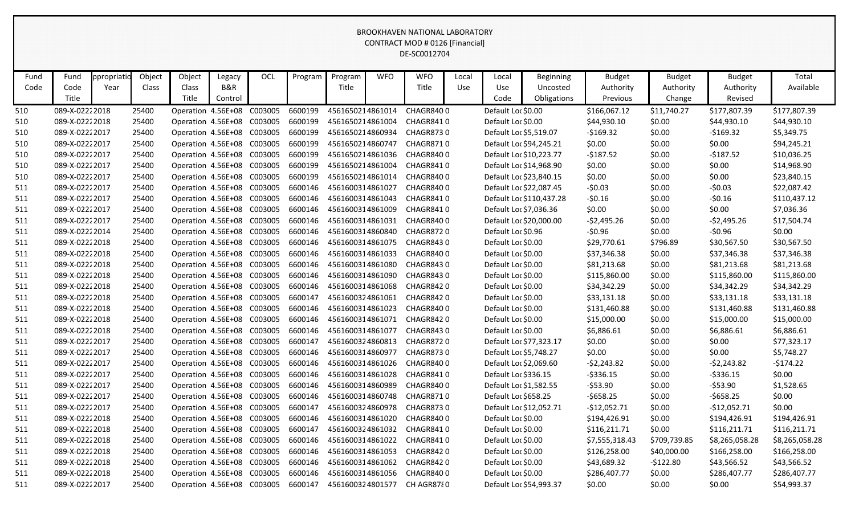| Fund | Fund            | ppropriatid | Object | Object                     | Legacy  | OCL                                | Program | Program          | <b>WFO</b> | <b>WFO</b>                 | Local | Local                  | <b>Beginning</b>         | <b>Budget</b>  | <b>Budget</b> | <b>Budget</b>  | Total          |
|------|-----------------|-------------|--------|----------------------------|---------|------------------------------------|---------|------------------|------------|----------------------------|-------|------------------------|--------------------------|----------------|---------------|----------------|----------------|
| Code | Code            | Year        | Class  | Class                      | B&R     |                                    |         | Title            |            | Title                      | Use   | Use                    | Uncosted                 | Authority      | Authority     | Authority      | Available      |
|      | Title           |             |        | Title                      | Control |                                    |         |                  |            |                            |       | Code                   | Obligations              | Previous       | Change        | Revised        |                |
| 510  | 089-X-02222018  |             | 25400  | Operation 4.56E+08         |         | C003005                            | 6600199 | 4561650214861014 |            | <b>CHAGR8400</b>           |       | Default Loc \$0.00     |                          | \$166,067.12   | \$11,740.27   | \$177,807.39   | \$177,807.39   |
| 510  | 089-X-02222018  |             | 25400  | Operation 4.56E+08         |         | C003005                            | 6600199 | 4561650214861004 |            | CHAGR8410                  |       | Default Loc \$0.00     |                          | \$44,930.10    | \$0.00        | \$44,930.10    | \$44,930.10    |
| 510  | 089-X-02222017  |             | 25400  | Operation 4.56E+08         |         | C003005                            | 6600199 | 4561650214860934 |            | CHAGR8730                  |       | Default Loc \$5,519.07 |                          | $-$169.32$     | \$0.00        | $-$169.32$     | \$5,349.75     |
| 510  | 089-X-0222 2017 |             | 25400  | Operation 4.56E+08         |         | C003005                            | 6600199 | 4561650214860747 |            | <b>CHAGR8710</b>           |       |                        | Default Loc \$94,245.21  | \$0.00         | \$0.00        | \$0.00         | \$94,245.21    |
| 510  | 089-X-02222017  |             | 25400  | Operation 4.56E+08 C003005 |         |                                    | 6600199 | 4561650214861036 |            | CHAGR8400                  |       |                        | Default Loc \$10,223.77  | $-5187.52$     | \$0.00        | $-5187.52$     | \$10,036.25    |
| 510  | 089-X-02222017  |             | 25400  | Operation 4.56E+08         |         | C003005                            | 6600199 | 4561650214861004 |            | CHAGR8410                  |       |                        | Default Loc \$14,968.90  | \$0.00         | \$0.00        | \$0.00         | \$14,968.90    |
| 510  | 089-X-02222017  |             | 25400  | Operation 4.56E+08         |         | C003005                            | 6600199 | 4561650214861014 |            | CHAGR8400                  |       |                        | Default Loc \$23,840.15  | \$0.00         | \$0.00        | \$0.00         | \$23,840.15    |
| 511  | 089-X-02222017  |             | 25400  | Operation 4.56E+08         |         | C003005                            | 6600146 | 4561600314861027 |            | CHAGR8400                  |       |                        | Default Loc \$22,087.45  | $-50.03$       | \$0.00        | $-50.03$       | \$22,087.42    |
| 511  | 089-X-0222 2017 |             | 25400  | Operation 4.56E+08 C003005 |         |                                    | 6600146 | 4561600314861043 |            | CHAGR8410                  |       |                        | Default Loc \$110,437.28 | $-50.16$       | \$0.00        | $-50.16$       | \$110,437.12   |
| 511  | 089-X-02222017  |             | 25400  | Operation 4.56E+08 C003005 |         |                                    | 6600146 | 4561600314861009 |            | CHAGR8410                  |       | Default Loc \$7,036.36 |                          | \$0.00         | \$0.00        | \$0.00         | \$7,036.36     |
| 511  | 089-X-02222017  |             | 25400  | Operation 4.56E+08         |         | C003005                            | 6600146 | 4561600314861031 |            | CHAGR8400                  |       |                        | Default Loc \$20,000.00  | -\$2,495.26    | \$0.00        | $-52,495.26$   | \$17,504.74    |
| 511  | 089-X-02222014  |             | 25400  | Operation 4.56E+08         |         | C003005                            | 6600146 | 4561600314860840 |            | <b>CHAGR8720</b>           |       | Default Loc \$0.96     |                          | $-50.96$       | \$0.00        | $-50.96$       | \$0.00         |
| 511  | 089-X-02222018  |             | 25400  | Operation 4.56E+08 C003005 |         |                                    | 6600146 | 4561600314861075 |            | CHAGR8430                  |       | Default Loc \$0.00     |                          | \$29,770.61    | \$796.89      | \$30,567.50    | \$30,567.50    |
| 511  | 089-X-02222018  |             | 25400  | Operation 4.56E+08 C003005 |         |                                    | 6600146 | 4561600314861033 |            | CHAGR8400                  |       | Default Loc \$0.00     |                          | \$37,346.38    | \$0.00        | \$37,346.38    | \$37,346.38    |
| 511  | 089-X-02222018  |             | 25400  | Operation 4.56E+08 C003005 |         |                                    | 6600146 | 4561600314861080 |            | CHAGR8430                  |       | Default Loc \$0.00     |                          | \$81,213.68    | \$0.00        | \$81,213.68    | \$81,213.68    |
| 511  | 089-X-02222018  |             | 25400  | Operation 4.56E+08         |         | C003005                            | 6600146 | 4561600314861090 |            | CHAGR8430                  |       | Default Loc \$0.00     |                          | \$115,860.00   | \$0.00        | \$115,860.00   | \$115,860.00   |
| 511  | 089-X-02222018  |             | 25400  | Operation 4.56E+08 C003005 |         |                                    | 6600146 | 4561600314861068 |            | CHAGR8420                  |       | Default Loc \$0.00     |                          | \$34,342.29    | \$0.00        | \$34,342.29    | \$34,342.29    |
| 511  | 089-X-02222018  |             | 25400  | Operation 4.56E+08 C003005 |         |                                    | 6600147 | 4561600324861061 |            | CHAGR8420                  |       | Default Loc \$0.00     |                          | \$33,131.18    | \$0.00        | \$33,131.18    | \$33,131.18    |
| 511  | 089-X-02222018  |             | 25400  | Operation 4.56E+08 C003005 |         |                                    | 6600146 | 4561600314861023 |            | CHAGR8400                  |       | Default Loc \$0.00     |                          | \$131,460.88   | \$0.00        | \$131,460.88   | \$131,460.88   |
| 511  | 089-X-02222018  |             | 25400  | Operation 4.56E+08 C003005 |         |                                    | 6600146 | 4561600314861071 |            | CHAGR8420                  |       | Default Loc \$0.00     |                          | \$15,000.00    | \$0.00        | \$15,000.00    | \$15,000.00    |
| 511  | 089-X-02222018  |             | 25400  | Operation 4.56E+08         |         | C003005                            | 6600146 | 4561600314861077 |            | CHAGR8430                  |       | Default Loc \$0.00     |                          | \$6,886.61     | \$0.00        | \$6,886.61     | \$6,886.61     |
| 511  | 089-X-02222017  |             | 25400  | Operation 4.56E+08 C003005 |         |                                    | 6600147 | 4561600324860813 |            | <b>CHAGR8720</b>           |       |                        | Default Loc \$77,323.17  | \$0.00         | \$0.00        | \$0.00         | \$77,323.17    |
| 511  | 089-X-02222017  |             | 25400  | Operation 4.56E+08 C003005 |         |                                    | 6600146 | 4561600314860977 |            | <b>CHAGR8730</b>           |       | Default Loc \$5,748.27 |                          | \$0.00         | \$0.00        | \$0.00         | \$5,748.27     |
| 511  | 089-X-0222 2017 |             | 25400  | Operation 4.56E+08 C003005 |         |                                    | 6600146 | 4561600314861026 |            | CHAGR8400                  |       | Default Loc \$2,069.60 |                          | $-52,243.82$   | \$0.00        | $-52,243.82$   | $-5174.22$     |
| 511  | 089-X-02222017  |             | 25400  | Operation 4.56E+08 C003005 |         |                                    | 6600146 | 4561600314861028 |            | CHAGR8410                  |       | Default Loc \$336.15   |                          | $-5336.15$     | \$0.00        | $-5336.15$     | \$0.00         |
| 511  | 089-X-02222017  |             | 25400  | Operation 4.56E+08         |         | C003005                            | 6600146 | 4561600314860989 |            | CHAGR8400                  |       | Default Loc \$1,582.55 |                          | -\$53.90       | \$0.00        | $-$ \$53.90    | \$1,528.65     |
| 511  | 089-X-02222017  |             | 25400  | Operation 4.56E+08 C003005 |         |                                    | 6600146 | 4561600314860748 |            | CHAGR8710                  |       | Default Loc \$658.25   |                          | $-5658.25$     | \$0.00        | $-5658.25$     | \$0.00         |
| 511  | 089-X-02222017  |             | 25400  |                            |         | Operation 4.56E+08 C003005 6600147 |         |                  |            | 4561600324860978 CHAGR8730 |       |                        | Default Loc \$12,052.71  | $-$12,052.71$  | \$0.00        | -\$12,052.71   | \$0.00         |
| 511  | 089-X-02222018  |             | 25400  | Operation 4.56E+08 C003005 |         |                                    | 6600146 | 4561600314861020 |            | CHAGR8400                  |       | Default Loc \$0.00     |                          | \$194,426.91   | \$0.00        | \$194,426.91   | \$194,426.91   |
| 511  | 089-X-02222018  |             | 25400  | Operation 4.56E+08 C003005 |         |                                    | 6600147 | 4561600324861032 |            | CHAGR8410                  |       | Default Loc \$0.00     |                          | \$116,211.71   | \$0.00        | \$116,211.71   | \$116,211.71   |
| 511  | 089-X-02222018  |             | 25400  | Operation 4.56E+08 C003005 |         |                                    | 6600146 | 4561600314861022 |            | CHAGR8410                  |       | Default Loc \$0.00     |                          | \$7,555,318.43 | \$709,739.85  | \$8,265,058.28 | \$8,265,058.28 |
| 511  | 089-X-02222018  |             | 25400  | Operation 4.56E+08 C003005 |         |                                    | 6600146 | 4561600314861053 |            | CHAGR8420                  |       | Default Loc \$0.00     |                          | \$126,258.00   | \$40,000.00   | \$166,258.00   | \$166,258.00   |
| 511  | 089-X-02222018  |             | 25400  | Operation 4.56E+08 C003005 |         |                                    | 6600146 | 4561600314861062 |            | CHAGR8420                  |       | Default Loc \$0.00     |                          | \$43,689.32    | $-5122.80$    | \$43,566.52    | \$43,566.52    |
| 511  | 089-X-02222018  |             | 25400  | Operation 4.56E+08 C003005 |         |                                    | 6600146 | 4561600314861056 |            | CHAGR8400                  |       | Default Loc \$0.00     |                          | \$286,407.77   | \$0.00        | \$286,407.77   | \$286,407.77   |
| 511  | 089-X-02222017  |             | 25400  | Operation 4.56E+08 C003005 |         |                                    | 6600147 | 4561600324801577 |            | CH AGR8780                 |       |                        | Default Loc \$54,993.37  | \$0.00         | \$0.00        | \$0.00         | \$54,993.37    |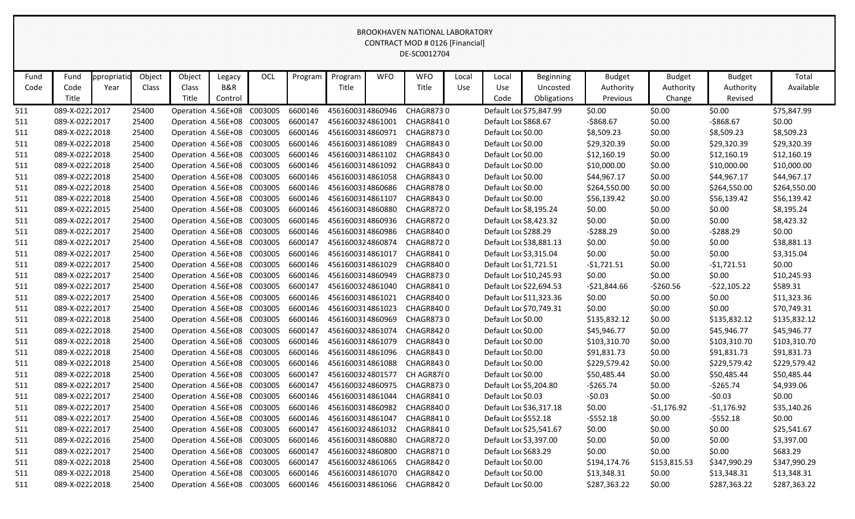| Fund | Fund            | ppropriatic | Object | Object                     | Legacy  | OCL                        | Program | Program          | <b>WFO</b> | <b>WFO</b>                                                    | Local | Local                  | <b>Beginning</b>        | <b>Budget</b> | <b>Budget</b> | <b>Budget</b> | Total        |
|------|-----------------|-------------|--------|----------------------------|---------|----------------------------|---------|------------------|------------|---------------------------------------------------------------|-------|------------------------|-------------------------|---------------|---------------|---------------|--------------|
| Code | Code            | Year        | Class  | Class                      | B&R     |                            |         | Title            |            | Title                                                         | Use   | Use                    | Uncosted                | Authority     | Authority     | Authority     | Available    |
|      | Title           |             |        | Title                      | Control |                            |         |                  |            |                                                               |       | Code                   | Obligations             | Previous      | Change        | Revised       |              |
| 511  | 089-X-02222017  |             | 25400  | Operation 4.56E+08         |         | C003005                    | 6600146 | 4561600314860946 |            | <b>CHAGR8730</b>                                              |       |                        | Default Loc \$75,847.99 | \$0.00        | \$0.00        | \$0.00        | \$75,847.99  |
| 511  | 089-X-0222 2017 |             | 25400  | Operation 4.56E+08 C003005 |         |                            | 6600147 | 4561600324861001 |            | <b>CHAGR8410</b>                                              |       | Default Loc \$868.67   |                         | $-5868.67$    | \$0.00        | $-$ \$868.67  | \$0.00       |
| 511  | 089-X-02222018  |             | 25400  | Operation 4.56E+08 C003005 |         |                            | 6600146 | 4561600314860971 |            | CHAGR8730                                                     |       | Default Loc \$0.00     |                         | \$8,509.23    | \$0.00        | \$8,509.23    | \$8,509.23   |
| 511  | 089-X-0222 2018 |             | 25400  | Operation 4.56E+08         |         | C003005                    | 6600146 | 4561600314861089 |            | CHAGR8430                                                     |       | Default Loc \$0.00     |                         | \$29,320.39   | \$0.00        | \$29,320.39   | \$29,320.39  |
| 511  | 089-X-02222018  |             | 25400  | Operation 4.56E+08 C003005 |         |                            | 6600146 | 4561600314861102 |            | <b>CHAGR8430</b>                                              |       | Default Loc \$0.00     |                         | \$12,160.19   | \$0.00        | \$12,160.19   | \$12,160.19  |
| 511  | 089-X-02222018  |             | 25400  | Operation 4.56E+08 C003005 |         |                            | 6600146 | 4561600314861092 |            | CHAGR8430                                                     |       | Default Loc \$0.00     |                         | \$10,000.00   | \$0.00        | \$10,000.00   | \$10,000.00  |
| 511  | 089-X-02222018  |             | 25400  | Operation 4.56E+08 C003005 |         |                            | 6600146 | 4561600314861058 |            | CHAGR8430                                                     |       | Default Loc \$0.00     |                         | \$44,967.17   | \$0.00        | \$44,967.17   | \$44,967.17  |
| 511  | 089-X-02222018  |             | 25400  | Operation 4.56E+08 C003005 |         |                            | 6600146 | 4561600314860686 |            | CHAGR8780                                                     |       | Default Loc \$0.00     |                         | \$264,550.00  | \$0.00        | \$264,550.00  | \$264,550.00 |
| 511  | 089-X-0222 2018 |             | 25400  | Operation 4.56E+08 C003005 |         |                            | 6600146 | 4561600314861107 |            | CHAGR8430                                                     |       | Default Loc \$0.00     |                         | \$56,139.42   | \$0.00        | \$56,139.42   | \$56,139.42  |
| 511  | 089-X-02222015  |             | 25400  | Operation 4.56E+08 C003005 |         |                            | 6600146 | 4561600314860880 |            | <b>CHAGR8720</b>                                              |       | Default Loc \$8,195.24 |                         | \$0.00        | \$0.00        | \$0.00        | \$8,195.24   |
| 511  | 089-X-02222017  |             | 25400  | Operation 4.56E+08 C003005 |         |                            | 6600146 | 4561600314860936 |            | CHAGR8720                                                     |       | Default Loc \$8,423.32 |                         | \$0.00        | \$0.00        | \$0.00        | \$8,423.32   |
| 511  | 089-X-0222 2017 |             | 25400  | Operation 4.56E+08 C003005 |         |                            | 6600146 | 4561600314860986 |            | CHAGR8400                                                     |       | Default Loc \$288.29   |                         | $-5288.29$    | \$0.00        | $-5288.29$    | \$0.00       |
| 511  | 089-X-02222017  |             | 25400  | Operation 4.56E+08 C003005 |         |                            | 6600147 | 4561600324860874 |            | <b>CHAGR8720</b>                                              |       |                        | Default Loc \$38,881.13 | \$0.00        | \$0.00        | \$0.00        | \$38,881.13  |
| 511  | 089-X-0222 2017 |             | 25400  | Operation 4.56E+08 C003005 |         |                            | 6600146 | 4561600314861017 |            | CHAGR8410                                                     |       | Default Loc \$3,315.04 |                         | \$0.00        | \$0.00        | \$0.00        | \$3,315.04   |
| 511  | 089-X-02222017  |             | 25400  | Operation 4.56E+08 C003005 |         |                            | 6600146 | 4561600314861029 |            | CHAGR8400                                                     |       | Default Loc \$1,721.51 |                         | $-51,721.51$  | \$0.00        | $-51,721.51$  | \$0.00       |
| 511  | 089-X-02222017  |             | 25400  | Operation 4.56E+08         |         | C003005                    | 6600146 | 4561600314860949 |            | <b>CHAGR8730</b>                                              |       |                        | Default Loc \$10,245.93 | \$0.00        | \$0.00        | \$0.00        | \$10,245.93  |
| 511  | 089-X-0222 2017 |             | 25400  | Operation 4.56E+08         |         | C003005                    | 6600147 | 4561600324861040 |            | CHAGR8410                                                     |       |                        | Default Loc \$22,694.53 | $-521,844.66$ | $-5260.56$    | $-522,105.22$ | \$589.31     |
| 511  | 089-X-02222017  |             | 25400  | Operation 4.56E+08 C003005 |         |                            | 6600146 | 4561600314861021 |            | CHAGR8400                                                     |       |                        | Default Loc \$11,323.36 | \$0.00        | \$0.00        | \$0.00        | \$11,323.36  |
| 511  | 089-X-0222 2017 |             | 25400  | Operation 4.56E+08         |         | C003005                    | 6600146 | 4561600314861023 |            | CHAGR8400                                                     |       |                        | Default Loc \$70,749.31 | \$0.00        | \$0.00        | \$0.00        | \$70,749.31  |
| 511  | 089-X-02222018  |             | 25400  | Operation 4.56E+08 C003005 |         |                            | 6600146 | 4561600314860969 |            | <b>CHAGR8730</b>                                              |       | Default Loc \$0.00     |                         | \$135,832.12  | \$0.00        | \$135,832.12  | \$135,832.12 |
| 511  | 089-X-02222018  |             | 25400  | Operation 4.56E+08         |         | C003005                    | 6600147 | 4561600324861074 |            | CHAGR8420                                                     |       | Default Loc \$0.00     |                         | \$45,946.77   | \$0.00        | \$45,946.77   | \$45,946.77  |
| 511  | 089-X-02222018  |             | 25400  | Operation 4.56E+08         |         | C003005                    | 6600146 | 4561600314861079 |            | CHAGR8430                                                     |       | Default Loc \$0.00     |                         | \$103,310.70  | \$0.00        | \$103,310.70  | \$103,310.70 |
| 511  | 089-X-02222018  |             | 25400  | Operation 4.56E+08 C003005 |         |                            | 6600146 | 4561600314861096 |            | CHAGR8430                                                     |       | Default Loc \$0.00     |                         | \$91,831.73   | \$0.00        | \$91,831.73   | \$91,831.73  |
| 511  | 089-X-02222018  |             | 25400  | Operation 4.56E+08         |         | C003005                    | 6600146 | 4561600314861088 |            | CHAGR8430                                                     |       | Default Loc \$0.00     |                         | \$229,579.42  | \$0.00        | \$229,579.42  | \$229,579.42 |
| 511  | 089-X-02222018  |             | 25400  | Operation 4.56E+08         |         | C003005                    | 6600147 | 4561600324801577 |            | CH AGR8780                                                    |       | Default Loc \$0.00     |                         | \$50,485.44   | \$0.00        | \$50,485.44   | \$50,485.44  |
| 511  | 089-X-02222017  |             | 25400  | Operation 4.56E+08         |         | C003005                    | 6600147 | 4561600324860975 |            | CHAGR8730                                                     |       | Default Loc \$5,204.80 |                         | $-5265.74$    | \$0.00        | $-5265.74$    | \$4,939.06   |
| 511  | 089-X-02222017  |             | 25400  | Operation 4.56E+08         |         | C003005                    | 6600146 | 4561600314861044 |            | CHAGR8410                                                     |       | Default Loc \$0.03     |                         | $-50.03$      | \$0.00        | $-50.03$      | \$0.00       |
| 511  | 089-X-0222 2017 |             | 25400  |                            |         |                            |         |                  |            | Operation 4.56E+08 C003005 6600146 4561600314860982 CHAGR8400 |       |                        | Default Loc \$36,317.18 | \$0.00        | $-$1,176.92$  | $-51,176.92$  | \$35,140.26  |
| 511  | 089-X-0222 2017 |             | 25400  |                            |         | Operation 4.56E+08 C003005 | 6600146 | 4561600314861047 |            | CHAGR8410                                                     |       | Default Loc \$552.18   |                         | $-5552.18$    | \$0.00        | $-5552.18$    | \$0.00       |
| 511  | 089-X-0222 2017 |             | 25400  | Operation 4.56E+08 C003005 |         |                            | 6600147 | 4561600324861032 |            | CHAGR8410                                                     |       |                        | Default Loc \$25,541.67 | \$0.00        | \$0.00        | \$0.00        | \$25,541.67  |
| 511  | 089-X-02222016  |             | 25400  | Operation 4.56E+08 C003005 |         |                            | 6600146 | 4561600314860880 |            | CHAGR8720                                                     |       | Default Loc \$3,397.00 |                         | \$0.00        | \$0.00        | \$0.00        | \$3,397.00   |
| 511  | 089-X-02222017  |             | 25400  | Operation 4.56E+08 C003005 |         |                            | 6600147 | 4561600324860800 |            | CHAGR8710                                                     |       | Default Loc \$683.29   |                         | \$0.00        | \$0.00        | \$0.00        | \$683.29     |
| 511  | 089-X-02222018  |             | 25400  | Operation 4.56E+08 C003005 |         |                            | 6600147 | 4561600324861065 |            | CHAGR8420                                                     |       | Default Loc \$0.00     |                         | \$194,174.76  | \$153,815.53  | \$347,990.29  | \$347,990.29 |
| 511  | 089-X-02222018  |             | 25400  | Operation 4.56E+08 C003005 |         |                            | 6600146 | 4561600314861070 |            | CHAGR8420                                                     |       | Default Loc \$0.00     |                         | \$13,348.31   | \$0.00        | \$13,348.31   | \$13,348.31  |
| 511  | 089-X-02222018  |             | 25400  | Operation 4.56E+08 C003005 |         |                            | 6600146 | 4561600314861066 |            | CHAGR8420                                                     |       | Default Loc \$0.00     |                         | \$287,363.22  | \$0.00        | \$287,363.22  | \$287,363.22 |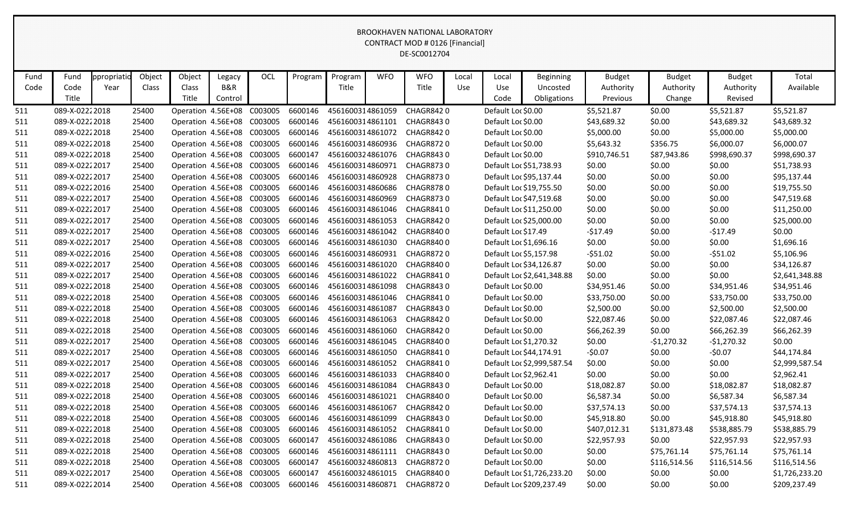| Fund | Fund            | ppropriatio | Object | Object                     | Legacy  | OCL                                | Program | Program          | <b>WFO</b> | <b>WFO</b>       | Local      | Local                  | <b>Beginning</b>           | <b>Budget</b> | <b>Budget</b> | <b>Budget</b> | Total          |
|------|-----------------|-------------|--------|----------------------------|---------|------------------------------------|---------|------------------|------------|------------------|------------|------------------------|----------------------------|---------------|---------------|---------------|----------------|
| Code | Code            | Year        | Class  | Class                      | B&R     |                                    |         | Title            |            | Title            | <b>Use</b> | Use                    | Uncosted                   | Authority     | Authority     | Authority     | Available      |
|      | Title           |             |        | Title                      | Control |                                    |         |                  |            |                  |            | Code                   | Obligations                | Previous      | Change        | Revised       |                |
| 511  | 089-X-02222018  |             | 25400  | Operation 4.56E+08         |         | C003005                            | 6600146 | 4561600314861059 |            | CHAGR8420        |            | Default Loc \$0.00     |                            | \$5,521.87    | \$0.00        | \$5,521.87    | \$5,521.87     |
| 511  | 089-X-02222018  |             | 25400  | Operation 4.56E+08 C003005 |         |                                    | 6600146 | 4561600314861101 |            | CHAGR8430        |            | Default Loc \$0.00     |                            | \$43,689.32   | \$0.00        | \$43,689.32   | \$43,689.32    |
| 511  | 089-X-02222018  |             | 25400  | Operation 4.56E+08 C003005 |         |                                    | 6600146 | 4561600314861072 |            | CHAGR8420        |            | Default Loc \$0.00     |                            | \$5,000.00    | \$0.00        | \$5,000.00    | \$5,000.00     |
| 511  | 089-X-02222018  |             | 25400  | Operation 4.56E+08 C003005 |         |                                    | 6600146 | 4561600314860936 |            | CHAGR8720        |            | Default Loc \$0.00     |                            | \$5,643.32    | \$356.75      | \$6,000.07    | \$6,000.07     |
| 511  | 089-X-02222018  |             | 25400  | Operation 4.56E+08 C003005 |         |                                    | 6600147 | 4561600324861076 |            | CHAGR8430        |            | Default Loc \$0.00     |                            | \$910,746.51  | \$87,943.86   | \$998,690.37  | \$998,690.37   |
| 511  | 089-X-02222017  |             | 25400  | Operation 4.56E+08         |         | C003005                            | 6600146 | 4561600314860971 |            | <b>CHAGR8730</b> |            |                        | Default Loc \$51,738.93    | \$0.00        | \$0.00        | \$0.00        | \$51,738.93    |
| 511  | 089-X-0222 2017 |             | 25400  | Operation 4.56E+08 C003005 |         |                                    | 6600146 | 4561600314860928 |            | <b>CHAGR8730</b> |            |                        | Default Loc \$95,137.44    | \$0.00        | \$0.00        | \$0.00        | \$95,137.44    |
| 511  | 089-X-0222 2016 |             | 25400  | Operation 4.56E+08 C003005 |         |                                    | 6600146 | 4561600314860686 |            | CHAGR8780        |            |                        | Default Loc \$19,755.50    | \$0.00        | \$0.00        | \$0.00        | \$19,755.50    |
| 511  | 089-X-0222 2017 |             | 25400  | Operation 4.56E+08 C003005 |         |                                    | 6600146 | 4561600314860969 |            | <b>CHAGR8730</b> |            |                        | Default Loc \$47,519.68    | \$0.00        | \$0.00        | \$0.00        | \$47,519.68    |
| 511  | 089-X-02222017  |             | 25400  | Operation 4.56E+08 C003005 |         |                                    | 6600146 | 4561600314861046 |            | CHAGR8410        |            |                        | Default Loc \$11,250.00    | \$0.00        | \$0.00        | \$0.00        | \$11,250.00    |
| 511  | 089-X-02222017  |             | 25400  | Operation 4.56E+08         |         | C003005                            | 6600146 | 4561600314861053 |            | CHAGR8420        |            |                        | Default Loc \$25,000.00    | \$0.00        | \$0.00        | \$0.00        | \$25,000.00    |
| 511  | 089-X-0222 2017 |             | 25400  | Operation 4.56E+08 C003005 |         |                                    | 6600146 | 4561600314861042 |            | CHAGR8400        |            | Default Loc \$17.49    |                            | $-517.49$     | \$0.00        | $-517.49$     | \$0.00         |
| 511  | 089-X-02222017  |             | 25400  | Operation 4.56E+08         |         | C003005                            | 6600146 | 4561600314861030 |            | CHAGR8400        |            | Default Loc \$1,696.16 |                            | \$0.00        | \$0.00        | \$0.00        | \$1,696.16     |
| 511  | 089-X-0222 2016 |             | 25400  | Operation 4.56E+08 C003005 |         |                                    | 6600146 | 4561600314860931 |            | CHAGR8720        |            | Default Loc \$5,157.98 |                            | $-551.02$     | \$0.00        | $-551.02$     | \$5,106.96     |
| 511  | 089-X-02222017  |             | 25400  | Operation 4.56E+08 C003005 |         |                                    | 6600146 | 4561600314861020 |            | CHAGR8400        |            |                        | Default Loc \$34,126.87    | \$0.00        | \$0.00        | \$0.00        | \$34,126.87    |
| 511  | 089-X-02222017  |             | 25400  | Operation 4.56E+08         |         | C003005                            | 6600146 | 4561600314861022 |            | CHAGR8410        |            |                        | Default Loc \$2,641,348.88 | \$0.00        | \$0.00        | \$0.00        | \$2,641,348.88 |
| 511  | 089-X-02222018  |             | 25400  | Operation 4.56E+08 C003005 |         |                                    | 6600146 | 4561600314861098 |            | CHAGR8430        |            | Default Loc \$0.00     |                            | \$34,951.46   | \$0.00        | \$34,951.46   | \$34,951.46    |
| 511  | 089-X-02222018  |             | 25400  | Operation 4.56E+08         |         | C003005                            | 6600146 | 4561600314861046 |            | CHAGR8410        |            | Default Loc \$0.00     |                            | \$33,750.00   | \$0.00        | \$33,750.00   | \$33,750.00    |
| 511  | 089-X-02222018  |             | 25400  | Operation 4.56E+08         |         | C003005                            | 6600146 | 4561600314861087 |            | CHAGR8430        |            | Default Loc \$0.00     |                            | \$2,500.00    | \$0.00        | \$2,500.00    | \$2,500.00     |
| 511  | 089-X-02222018  |             | 25400  | Operation 4.56E+08 C003005 |         |                                    | 6600146 | 4561600314861063 |            | CHAGR8420        |            | Default Loc \$0.00     |                            | \$22,087.46   | \$0.00        | \$22,087.46   | \$22,087.46    |
| 511  | 089-X-0222 2018 |             | 25400  | Operation 4.56E+08         |         | C003005                            | 6600146 | 4561600314861060 |            | CHAGR8420        |            | Default Loc \$0.00     |                            | \$66,262.39   | \$0.00        | \$66,262.39   | \$66,262.39    |
| 511  | 089-X-0222 2017 |             | 25400  | Operation 4.56E+08 C003005 |         |                                    | 6600146 | 4561600314861045 |            | CHAGR8400        |            | Default Loc \$1,270.32 |                            | \$0.00        | $-$1,270.32$  | $-$1,270.32$  | \$0.00         |
| 511  | 089-X-02222017  |             | 25400  | Operation 4.56E+08         |         | C003005                            | 6600146 | 4561600314861050 |            | CHAGR8410        |            |                        | Default Loc \$44,174.91    | $-50.07$      | \$0.00        | $-50.07$      | \$44,174.84    |
| 511  | 089-X-0222 2017 |             | 25400  | Operation 4.56E+08         |         | C003005                            | 6600146 | 4561600314861052 |            | CHAGR8410        |            |                        | Default Loc \$2,999,587.54 | \$0.00        | \$0.00        | \$0.00        | \$2,999,587.54 |
| 511  | 089-X-02222017  |             | 25400  | Operation 4.56E+08         |         | C003005                            | 6600146 | 4561600314861033 |            | CHAGR8400        |            | Default Loc \$2,962.41 |                            | \$0.00        | \$0.00        | \$0.00        | \$2,962.41     |
| 511  | 089-X-0222 2018 |             | 25400  | Operation 4.56E+08         |         | C003005                            | 6600146 | 4561600314861084 |            | CHAGR8430        |            | Default Loc \$0.00     |                            | \$18,082.87   | \$0.00        | \$18,082.87   | \$18,082.87    |
| 511  | 089-X-02222018  |             | 25400  | Operation 4.56E+08 C003005 |         |                                    | 6600146 | 4561600314861021 |            | <b>CHAGR8400</b> |            | Default Loc \$0.00     |                            | \$6,587.34    | \$0.00        | \$6,587.34    | \$6,587.34     |
| 511  | 089-X-0222 2018 |             | 25400  |                            |         | Operation 4.56E+08 C003005 6600146 |         | 4561600314861067 |            | CHAGR8420        |            | Default Loc \$0.00     |                            | \$37,574.13   | \$0.00        | \$37,574.13   | \$37,574.13    |
| 511  | 089-X-02222018  |             | 25400  |                            |         | Operation 4.56E+08 C003005 6600146 |         | 4561600314861099 |            | CHAGR8430        |            | Default Loc \$0.00     |                            | \$45,918.80   | \$0.00        | \$45,918.80   | \$45,918.80    |
| 511  | 089-X-02222018  |             | 25400  |                            |         | Operation 4.56E+08 C003005         | 6600146 | 4561600314861052 |            | CHAGR8410        |            | Default Loc \$0.00     |                            | \$407,012.31  | \$131,873.48  | \$538,885.79  | \$538,885.79   |
| 511  | 089-X-02222018  |             | 25400  | Operation 4.56E+08 C003005 |         |                                    | 6600147 | 4561600324861086 |            | CHAGR8430        |            | Default Loc \$0.00     |                            | \$22,957.93   | \$0.00        | \$22,957.93   | \$22,957.93    |
| 511  | 089-X-02222018  |             | 25400  | Operation 4.56E+08 C003005 |         |                                    | 6600146 | 4561600314861111 |            | CHAGR8430        |            | Default Loc \$0.00     |                            | \$0.00        | \$75,761.14   | \$75,761.14   | \$75,761.14    |
| 511  | 089-X-02222018  |             | 25400  | Operation 4.56E+08 C003005 |         |                                    | 6600147 | 4561600324860813 |            | CHAGR8720        |            | Default Loc \$0.00     |                            | \$0.00        | \$116,514.56  | \$116,514.56  | \$116,514.56   |
| 511  | 089-X-02222017  |             | 25400  | Operation 4.56E+08 C003005 |         |                                    | 6600147 | 4561600324861015 |            | CHAGR8400        |            |                        | Default Loc \$1,726,233.20 | \$0.00        | \$0.00        | \$0.00        | \$1,726,233.20 |
| 511  | 089-X-02222014  |             | 25400  | Operation 4.56E+08 C003005 |         |                                    | 6600146 | 4561600314860871 |            | CHAGR8720        |            |                        | Default Loc \$209,237.49   | \$0.00        | \$0.00        | \$0.00        | \$209,237.49   |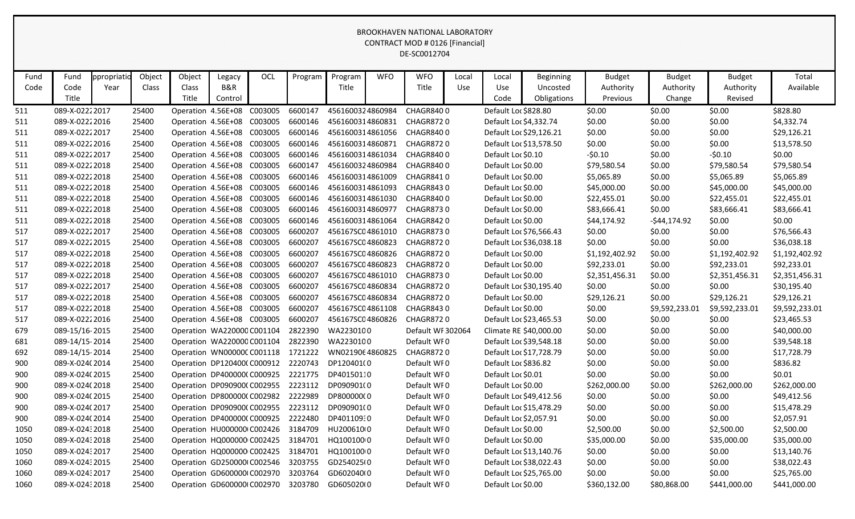| Fund | Fund            | ppropriatic | Object | Object | Legacy                     | OCL                                           | Program | Program          | <b>WFO</b> | <b>WFO</b>        | Local | Local                | <b>Beginning</b>        | <b>Budget</b>  | <b>Budget</b>  | <b>Budget</b>  | Total          |
|------|-----------------|-------------|--------|--------|----------------------------|-----------------------------------------------|---------|------------------|------------|-------------------|-------|----------------------|-------------------------|----------------|----------------|----------------|----------------|
| Code | Code            | Year        | Class  | Class  | B&R                        |                                               |         | Title            |            | Title             | Use   | Use                  | Uncosted                | Authority      | Authority      | Authority      | Available      |
|      | Title           |             |        | Title  | Control                    |                                               |         |                  |            |                   |       | Code                 | Obligations             | Previous       | Change         | Revised        |                |
| 511  | 089-X-0222 2017 |             | 25400  |        | Operation 4.56E+08 C003005 |                                               | 6600147 | 4561600324860984 |            | <b>CHAGR8400</b>  |       | Default Loc \$828.80 |                         | \$0.00         | \$0.00         | \$0.00         | \$828.80       |
| 511  | 089-X-0222 2016 |             | 25400  |        | Operation 4.56E+08 C003005 |                                               | 6600146 | 4561600314860831 |            | <b>CHAGR8720</b>  |       |                      | Default Loc \$4,332.74  | \$0.00         | \$0.00         | \$0.00         | \$4,332.74     |
| 511  | 089-X-02222017  |             | 25400  |        | Operation 4.56E+08 C003005 |                                               | 6600146 | 4561600314861056 |            | CHAGR8400         |       |                      | Default Loc \$29,126.21 | \$0.00         | \$0.00         | \$0.00         | \$29,126.21    |
| 511  | 089-X-0222 2016 |             | 25400  |        | Operation 4.56E+08 C003005 |                                               | 6600146 | 4561600314860871 |            | <b>CHAGR8720</b>  |       |                      | Default Loc \$13,578.50 | \$0.00         | \$0.00         | \$0.00         | \$13,578.50    |
| 511  | 089-X-0222 2017 |             | 25400  |        | Operation 4.56E+08 C003005 |                                               | 6600146 | 4561600314861034 |            | CHAGR8400         |       | Default Loc \$0.10   |                         | $-50.10$       | \$0.00         | $-50.10$       | \$0.00         |
| 511  | 089-X-02222018  |             | 25400  |        | Operation 4.56E+08 C003005 |                                               | 6600147 | 4561600324860984 |            | CHAGR8400         |       | Default Loc \$0.00   |                         | \$79,580.54    | \$0.00         | \$79,580.54    | \$79,580.54    |
| 511  | 089-X-02222018  |             | 25400  |        | Operation 4.56E+08 C003005 |                                               | 6600146 | 4561600314861009 |            | CHAGR8410         |       | Default Loc \$0.00   |                         | \$5,065.89     | \$0.00         | \$5,065.89     | \$5,065.89     |
| 511  | 089-X-02222018  |             | 25400  |        | Operation 4.56E+08 C003005 |                                               | 6600146 | 4561600314861093 |            | CHAGR8430         |       | Default Loc \$0.00   |                         | \$45,000.00    | \$0.00         | \$45,000.00    | \$45,000.00    |
| 511  | 089-X-02222018  |             | 25400  |        | Operation 4.56E+08 C003005 |                                               | 6600146 | 4561600314861030 |            | CHAGR8400         |       | Default Loc \$0.00   |                         | \$22,455.01    | \$0.00         | \$22,455.01    | \$22,455.01    |
| 511  | 089-X-02222018  |             | 25400  |        | Operation 4.56E+08 C003005 |                                               | 6600146 | 4561600314860977 |            | <b>CHAGR8730</b>  |       | Default Loc \$0.00   |                         | \$83,666.41    | \$0.00         | \$83,666.41    | \$83,666.41    |
| 511  | 089-X-02222018  |             | 25400  |        | Operation 4.56E+08 C003005 |                                               | 6600146 | 4561600314861064 |            | CHAGR8420         |       | Default Loc \$0.00   |                         | \$44,174.92    | $-544, 174.92$ | \$0.00         | \$0.00         |
| 517  | 089-X-0222 2017 |             | 25400  |        | Operation 4.56E+08 C003005 |                                               | 6600207 | 456167SC04861010 |            | <b>CHAGR8730</b>  |       |                      | Default Loc \$76,566.43 | \$0.00         | \$0.00         | \$0.00         | \$76,566.43    |
| 517  | 089-X-0222 2015 |             | 25400  |        | Operation 4.56E+08 C003005 |                                               | 6600207 | 456167SC04860823 |            | <b>CHAGR8720</b>  |       |                      | Default Loc \$36,038.18 | \$0.00         | \$0.00         | \$0.00         | \$36,038.18    |
| 517  | 089-X-02222018  |             | 25400  |        | Operation 4.56E+08 C003005 |                                               | 6600207 | 456167SC04860826 |            | <b>CHAGR8720</b>  |       | Default Loc \$0.00   |                         | \$1,192,402.92 | \$0.00         | \$1,192,402.92 | \$1,192,402.92 |
| 517  | 089-X-02222018  |             | 25400  |        | Operation 4.56E+08 C003005 |                                               | 6600207 | 456167SC04860823 |            | <b>CHAGR8720</b>  |       | Default Loc \$0.00   |                         | \$92,233.01    | \$0.00         | \$92,233.01    | \$92,233.01    |
| 517  | 089-X-02222018  |             | 25400  |        | Operation 4.56E+08 C003005 |                                               | 6600207 | 456167SC04861010 |            | <b>CHAGR8730</b>  |       | Default Loc \$0.00   |                         | \$2,351,456.31 | \$0.00         | \$2,351,456.31 | \$2,351,456.31 |
| 517  | 089-X-0222 2017 |             | 25400  |        | Operation 4.56E+08 C003005 |                                               | 6600207 | 456167SC04860834 |            | <b>CHAGR8720</b>  |       |                      | Default Loc \$30,195.40 | \$0.00         | \$0.00         | \$0.00         | \$30,195.40    |
| 517  | 089-X-02222018  |             | 25400  |        | Operation 4.56E+08 C003005 |                                               | 6600207 | 456167SC04860834 |            | <b>CHAGR8720</b>  |       | Default Loc \$0.00   |                         | \$29,126.21    | \$0.00         | \$29,126.21    | \$29,126.21    |
| 517  | 089-X-02222018  |             | 25400  |        | Operation 4.56E+08 C003005 |                                               | 6600207 | 456167SC04861108 |            | CHAGR8430         |       | Default Loc \$0.00   |                         | \$0.00         | \$9,592,233.01 | \$9,592,233.01 | \$9,592,233.01 |
| 517  | 089-X-0222 2016 |             | 25400  |        | Operation 4.56E+08 C003005 |                                               | 6600207 | 456167SC04860826 |            | CHAGR8720         |       |                      | Default Loc \$23,465.53 | \$0.00         | \$0.00         | \$0.00         | \$23,465.53    |
| 679  | 089-15/16-2015  |             | 25400  |        | Operation WA220000 C001104 |                                               | 2822390 | WA2230100        |            | Default WF 302064 |       |                      | Climate RE \$40,000.00  | \$0.00         | \$0.00         | \$0.00         | \$40,000.00    |
| 681  | 089-14/15-2014  |             | 25400  |        | Operation WA220000 C001104 |                                               | 2822390 | WA2230100        |            | Default WF0       |       |                      | Default Loc \$39,548.18 | \$0.00         | \$0.00         | \$0.00         | \$39,548.18    |
| 692  | 089-14/15-2014  |             | 25400  |        | Operation WN00000CC001118  |                                               | 1721222 | WN0219064860825  |            | <b>CHAGR8720</b>  |       |                      | Default Loc \$17,728.79 | \$0.00         | \$0.00         | \$0.00         | \$17,728.79    |
| 900  | 089-X-024(2014  |             | 25400  |        | Operation DP120400(C000912 |                                               | 2220743 | DP120401(0       |            | Default WF0       |       | Default Loc \$836.82 |                         | \$0.00         | \$0.00         | \$0.00         | \$836.82       |
| 900  | 089-X-024(2015  |             | 25400  |        | Operation DP400000(C000925 |                                               | 2221775 | DP40150110       |            | Default WF0       |       | Default Loc \$0.01   |                         | \$0.00         | \$0.00         | \$0.00         | \$0.01         |
| 900  | 089-X-024(2018  |             | 25400  |        | Operation DP090900(C002955 |                                               | 2223112 | DP090901(0       |            | Default WF0       |       | Default Loc \$0.00   |                         | \$262,000.00   | \$0.00         | \$262,000.00   | \$262,000.00   |
| 900  | 089-X-024(2015  |             | 25400  |        |                            | Operation DP800000(C002982                    | 2222989 | DP800000(0       |            | Default WF0       |       |                      | Default Loc \$49,412.56 | \$0.00         | \$0.00         | \$0.00         | \$49,412.56    |
| 900  | 089-X-024(2017  |             | 25400  |        |                            | Operation DP090900(C002955 2223112 DP090901(0 |         |                  |            | Default WF0       |       |                      | Default Loc \$15,478.29 | \$0.00         | \$0.00         | \$0.00         | \$15,478.29    |
| 900  | 089-X-024(2014  |             | 25400  |        |                            | Operation DP400000(C000925                    | 2222480 | DP40110930       |            | Default WF0       |       |                      | Default Loc \$2,057.91  | \$0.00         | \$0.00         | \$0.00         | \$2,057.91     |
| 1050 | 089-X-02432018  |             | 25400  |        | Operation HU000000 C002426 |                                               | 3184709 | HU200610(0       |            | Default WF0       |       | Default Loc \$0.00   |                         | \$2,500.00     | \$0.00         | \$2,500.00     | \$2,500.00     |
| 1050 | 089-X-02432018  |             | 25400  |        | Operation HQ000000 C002425 |                                               | 3184701 | HQ100100 0       |            | Default WFO       |       | Default Loc \$0.00   |                         | \$35,000.00    | \$0.00         | \$35,000.00    | \$35,000.00    |
| 1050 | 089-X-02432017  |             | 25400  |        | Operation HQ000000 C002425 |                                               | 3184701 | HQ100100 0       |            | Default WF0       |       |                      | Default Loc \$13,140.76 | \$0.00         | \$0.00         | \$0.00         | \$13,140.76    |
| 1060 | 089-X-0243 2015 |             | 25400  |        | Operation GD250000(C002546 |                                               | 3203755 | GD254025(0       |            | Default WF0       |       |                      | Default Loc \$38,022.43 | \$0.00         | \$0.00         | \$0.00         | \$38,022.43    |
| 1060 | 089-X-02432017  |             | 25400  |        | Operation GD600000(C002970 |                                               | 3203764 | GD602040(0       |            | Default WF0       |       |                      | Default Loc \$25,765.00 | \$0.00         | \$0.00         | \$0.00         | \$25,765.00    |
| 1060 | 089-X-024: 2018 |             | 25400  |        | Operation GD600000(C002970 |                                               | 3203780 | GD605020(0       |            | Default WF0       |       | Default Loc \$0.00   |                         | \$360,132.00   | \$80,868.00    | \$441,000.00   | \$441,000.00   |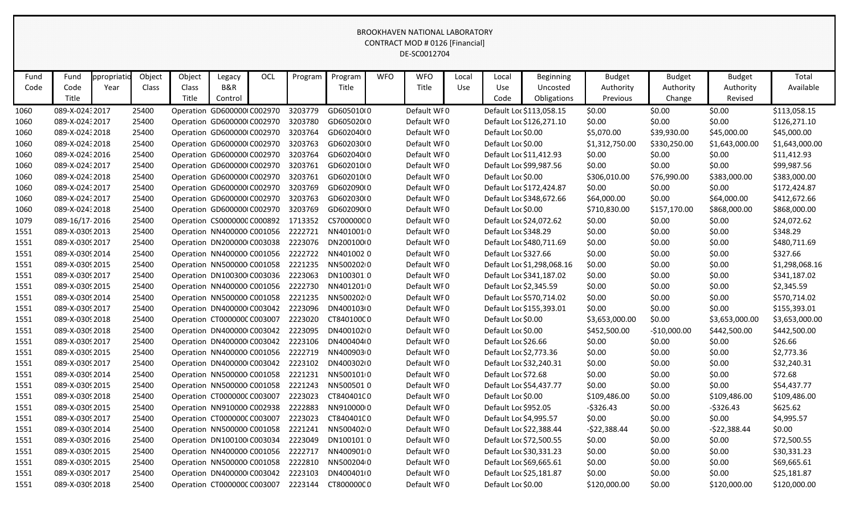|              |                       |                     |                 |                                    |                                     |     |         |                  |            | <b>BROOKHAVEN NATIONAL LABORATORY</b><br>CONTRACT MOD # 0126 [Financial]<br>DE-SC0012704 |                     |                         |                                             |                                        |                                      |                                       |                    |
|--------------|-----------------------|---------------------|-----------------|------------------------------------|-------------------------------------|-----|---------|------------------|------------|------------------------------------------------------------------------------------------|---------------------|-------------------------|---------------------------------------------|----------------------------------------|--------------------------------------|---------------------------------------|--------------------|
| Fund<br>Code | Fund<br>Code<br>Title | ppropriatic<br>Year | Object<br>Class | Object<br>Class<br>Title           | Legacy<br>B&R<br>Control            | OCL | Program | Program<br>Title | <b>WFO</b> | <b>WFO</b><br>Title                                                                      | Local<br><b>Use</b> | Local<br>Use<br>Code    | <b>Beginning</b><br>Uncosted<br>Obligations | <b>Budget</b><br>Authority<br>Previous | <b>Budget</b><br>Authority<br>Change | <b>Budget</b><br>Authority<br>Revised | Total<br>Available |
| 1060         | 089-X-02432017        |                     | 25400           |                                    | Operation GD600000(C002970          |     | 3203779 | GD605010(0       |            | Default WF0                                                                              |                     |                         | Default Loc \$113,058.15                    | \$0.00                                 | \$0.00                               | \$0.00                                | \$113,058.15       |
| 1060         | 089-X-02432017        |                     | 25400           |                                    | Operation GD600000(C002970          |     | 3203780 | GD605020(0       |            | Default WF0                                                                              |                     |                         | Default Loc \$126,271.10                    | \$0.00                                 | \$0.00                               | \$0.00                                | \$126,271.10       |
| 1060         | 089-X-0243 2018       |                     | 25400           |                                    | Operation GD600000(C002970          |     | 3203764 | GD602040(0       |            | Default WF0                                                                              |                     | Default Loc \$0.00      |                                             | \$5,070.00                             | \$39,930.00                          | \$45,000.00                           | \$45,000.00        |
| 1060         | 089-X-02432018        |                     | 25400           |                                    | Operation GD600000(C002970          |     | 3203763 | GD602030(0       |            | Default WFO                                                                              |                     | Default Loc \$0.00      |                                             | \$1,312,750.00                         | \$330,250.00                         | \$1,643,000.00                        | \$1,643,000.00     |
| 1060         | 089-X-02432016        |                     | 25400           |                                    | Operation GD600000(C002970          |     | 3203764 | GD602040(0       |            | Default WF0                                                                              |                     |                         | Default Loc \$11,412.93                     | \$0.00                                 | \$0.00                               | \$0.00                                | \$11,412.93        |
| 1060         | 089-X-02432017        |                     | 25400           |                                    | Operation GD600000(C002970          |     | 3203761 | GD602010(0       |            | Default WF0                                                                              |                     |                         | Default Loc \$99,987.56                     | \$0.00                                 | \$0.00                               | \$0.00                                | \$99,987.56        |
| 1060         | 089-X-0243 2018       |                     | 25400           |                                    | Operation GD600000(C002970          |     | 3203761 | GD602010(0       |            | Default WF0                                                                              |                     | Default Loc \$0.00      |                                             | \$306,010.00                           | \$76,990.00                          | \$383,000.00                          | \$383,000.00       |
| 1060         | 089-X-02432017        |                     | 25400           |                                    | Operation GD600000(C002970          |     | 3203769 | GD602090(0       |            | Default WF0                                                                              |                     |                         | Default Loc \$172,424.87                    | \$0.00                                 | \$0.00                               | \$0.00                                | \$172,424.87       |
| 1060         | 089-X-02432017        |                     | 25400           |                                    | Operation GD600000(C002970          |     | 3203763 | GD602030(0       |            | Default WFO                                                                              |                     |                         | Default Loc \$348,672.66                    | \$64,000.00                            | \$0.00                               | \$64,000.00                           | \$412,672.66       |
| 1060         | 089-X-02432018        |                     | 25400           |                                    | Operation GD600000(C002970          |     | 3203769 | GD602090(0       |            | Default WF0                                                                              |                     | Default Loc \$0.00      |                                             | \$710,830.00                           | \$157,170.00                         | \$868,000.00                          | \$868,000.00       |
| 1079         | 089-16/17-2016        |                     | 25400           |                                    | Operation CS0000000 C000892         |     | 1713352 | CS70000000       |            | Default WF0                                                                              |                     |                         | Default Loc \$24,072.62                     | \$0.00                                 | \$0.00                               | \$0.00                                | \$24,072.62        |
| 1551         | 089-X-0309 2013       |                     | 25400           |                                    | Operation NN400000 C001056          |     | 2222721 | NN4010010        |            | Default WF0                                                                              |                     | Default Loc \$348.29    |                                             | \$0.00                                 | \$0.00                               | \$0.00                                | \$348.29           |
| 1551         | 089-X-0309 2017       |                     | 25400           |                                    | Operation DN200000 C003038          |     | 2223076 | DN200100(0       |            | Default WF0                                                                              |                     |                         | Default Loc \$480,711.69                    | \$0.00                                 | \$0.00                               | \$0.00                                | \$480,711.69       |
| 1551         | 089-X-0309 2014       |                     | 25400           |                                    | Operation NN400000 C001056          |     | 2222722 | NN4010020        |            | Default WFO                                                                              |                     | Default Loc \$327.66    |                                             | \$0.00                                 | \$0.00                               | \$0.00                                | \$327.66           |
| 1551         | 089-X-0309 2015       |                     | 25400           |                                    | Operation NN500000 C001058          |     | 2221235 | NN5002020        |            | Default WF0                                                                              |                     |                         | Default Loc \$1,298,068.16                  | \$0.00                                 | \$0.00                               | \$0.00                                | \$1,298,068.16     |
| 1551         | 089-X-0309 2017       |                     | 25400           |                                    | Operation DN100300 C003036          |     | 2223063 | DN100301 0       |            | Default WF0                                                                              |                     |                         | Default Loc \$341,187.02                    | \$0.00                                 | \$0.00                               | \$0.00                                | \$341,187.02       |
| 1551         | 089-X-0309 2015       |                     | 25400           |                                    | Operation NN400000 C001056          |     | 2222730 | NN4012010        |            | Default WF0                                                                              |                     | Default Loc \$2,345.59  |                                             | \$0.00                                 | \$0.00                               | \$0.00                                | \$2,345.59         |
| 1551         | 089-X-0309 2014       |                     | 25400           |                                    | Operation NN500000 C001058          |     | 2221235 | NN5002020        |            | Default WF0                                                                              |                     |                         | Default Loc \$570,714.02                    | \$0.00                                 | \$0.00                               | \$0.00                                | \$570,714.02       |
| 1551         | 089-X-0309 2017       |                     | 25400           |                                    | Operation DN400000 C003042          |     | 2223096 | DN400103(0       |            | Default WFO                                                                              |                     |                         | Default Loc \$155,393.01                    | \$0.00                                 | \$0.00                               | \$0.00                                | \$155,393.01       |
| 1551         | 089-X-0309 2018       |                     | 25400           |                                    | Operation CT0000000 C003007         |     | 2223020 | CT840100C0       |            | Default WF0                                                                              |                     | Default Loc \$0.00      |                                             | \$3,653,000.00                         | \$0.00                               | \$3,653,000.00                        | \$3,653,000.00     |
| 1551         | 089-X-0309 2018       |                     | 25400           |                                    | Operation DN400000 C003042          |     | 2223095 | DN400102(0       |            | Default WF0                                                                              |                     | Default Loc \$0.00      |                                             | \$452,500.00                           | $-$10,000.00$                        | \$442,500.00                          | \$442,500.00       |
| 1551         | 089-X-0309 2017       |                     | 25400           |                                    | Operation DN400000 C003042          |     | 2223106 | DN400404(0       |            | Default WF0                                                                              |                     | Default Loc \$26.66     |                                             | \$0.00                                 | \$0.00                               | \$0.00                                | \$26.66            |
| 1551         | 089-X-0309 2015       |                     | 25400           |                                    | Operation NN400000 C001056          |     | 2222719 | NN4009030        |            | Default WF0                                                                              |                     | Default Loc \$2,773.36  |                                             | \$0.00                                 | \$0.00                               | \$0.00                                | \$2,773.36         |
| 1551         | 089-X-0309 2017       |                     | 25400           |                                    | Operation DN400000 C003042          |     | 2223102 | DN400302(0       |            | Default WFO                                                                              |                     | Default Loc \$32,240.31 |                                             | \$0.00                                 | \$0.00                               | \$0.00                                | \$32,240.31        |
| 1551         | 089-X-0309 2014       |                     | 25400           |                                    | Operation NN500000 C001058 2221231  |     |         | NN5001010        |            | Default WF0                                                                              |                     | Default Loc \$72.68     |                                             | \$0.00                                 | \$0.00                               | \$0.00                                | \$72.68            |
| 1551         | 089-X-0309 2015       |                     | 25400           |                                    | Operation NN500000 C001058          |     | 2221243 | NN5005010        |            | Default WF0                                                                              |                     |                         | Default Loc \$54,437.77                     | \$0.00                                 | \$0.00                               | \$0.00                                | \$54,437.77        |
| 1551         | 089-X-0309 2018       |                     | 25400           |                                    | Operation CT0000000 C003007         |     | 2223023 | CT840401C0       |            | Default WF0                                                                              |                     | Default Loc \$0.00      |                                             | \$109,486.00                           | \$0.00                               | \$109,486.00                          | \$109,486.00       |
| 1551         | 089-X-0309 2015       |                     | 25400           | Operation NN910000 C002938         |                                     |     | 2222883 | NN91000000       |            | Default WF0                                                                              |                     | Default Loc \$952.05    |                                             | $-5326.43$                             | \$0.00                               | $-$ \$326.43                          | \$625.62           |
| 1551         | 089-X-0309 2017       |                     | 25400           |                                    | Operation CT0000000 C003007         |     | 2223023 | CT84040100       |            | Default WF0                                                                              |                     | Default Loc \$4,995.57  |                                             | \$0.00                                 | \$0.00                               | \$0.00                                | \$4,995.57         |
| 1551         | 089-X-0309 2014       |                     | 25400           |                                    | Operation NN500000 C001058 2221241  |     |         | NN5004020        |            | Default WF0                                                                              |                     |                         | Default Loc \$22,388.44                     | $-522,388.44$                          | \$0.00                               | $-522,388.44$                         | \$0.00             |
| 1551         | 089-X-0309 2016       |                     | 25400           |                                    | Operation DN100100 C003034          |     | 2223049 | DN1001010        |            | Default WF0                                                                              |                     |                         | Default Loc \$72,500.55                     | \$0.00                                 | \$0.00                               | \$0.00                                | \$72,500.55        |
| 1551         | 089-X-0309 2015       |                     | 25400           |                                    | Operation NN400000 C001056 2222717  |     |         | NN4009010        |            | Default WF0                                                                              |                     |                         | Default Loc \$30,331.23                     | \$0.00                                 | \$0.00                               | \$0.00                                | \$30,331.23        |
| 1551         | 089-X-0309 2015       |                     | 25400           | Operation NN500000 C001058         |                                     |     | 2222810 | NN5002040        |            | Default WF0                                                                              |                     |                         | Default Loc \$69,665.61                     | \$0.00                                 | \$0.00                               | \$0.00                                | \$69,665.61        |
| 1551         | 089-X-0309 2017       |                     | 25400           | Operation DN400000 C003042 2223103 |                                     |     |         | DN400401(0       |            | Default WF0                                                                              |                     |                         | Default Loc \$25,181.87                     | \$0.00                                 | \$0.00                               | \$0.00                                | \$25,181.87        |
| 1551         | 089-X-0309 2018       |                     | 25400           |                                    | Operation CT0000000 C003007 2223144 |     |         | CT800000C0       |            | Default WF0                                                                              |                     | Default Loc \$0.00      |                                             | \$120,000.00                           | \$0.00                               | \$120,000.00                          | \$120,000.00       |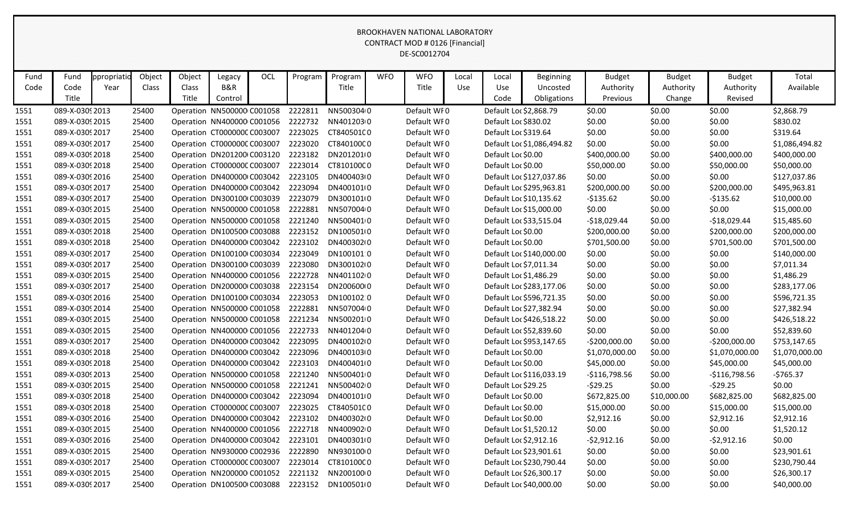|      |                 |             |        |        |                                                           |     |         |                         |            | <b>BROOKHAVEN NATIONAL LABORATORY</b><br>CONTRACT MOD # 0126 [Financial]<br>DE-SC0012704 |       |                        |                            |                |               |                |                |
|------|-----------------|-------------|--------|--------|-----------------------------------------------------------|-----|---------|-------------------------|------------|------------------------------------------------------------------------------------------|-------|------------------------|----------------------------|----------------|---------------|----------------|----------------|
| Fund | Fund            | ppropriatio | Object | Object | Legacy                                                    | OCL | Program | Program                 | <b>WFO</b> | <b>WFO</b>                                                                               | Local | Local                  | <b>Beginning</b>           | <b>Budget</b>  | <b>Budget</b> | <b>Budget</b>  | Total          |
| Code | Code            | Year        | Class  | Class  | B&R                                                       |     |         | Title                   |            | Title                                                                                    | Use   | Use                    | Uncosted                   | Authority      | Authority     | Authority      | Available      |
|      | Title           |             |        | Title  | Control                                                   |     |         |                         |            |                                                                                          |       | Code                   | Obligations                | Previous       | Change        | Revised        |                |
| 1551 | 089-X-0309 2013 |             | 25400  |        | Operation NN500000 C001058                                |     | 2222811 | NN5003040               |            | Default WF0                                                                              |       | Default Loc \$2,868.79 |                            | \$0.00         | \$0.00        | \$0.00         | \$2,868.79     |
| 1551 | 089-X-0309 2015 |             | 25400  |        | Operation NN400000 C001056                                |     | 2222732 | NN40120300              |            | Default WF0                                                                              |       | Default Loc \$830.02   |                            | \$0.00         | \$0.00        | \$0.00         | \$830.02       |
| 1551 | 089-X-03092017  |             | 25400  |        | Operation CT0000000 C003007                               |     | 2223025 | CT840501C0              |            | Default WF0                                                                              |       | Default Loc \$319.64   |                            | \$0.00         | \$0.00        | \$0.00         | \$319.64       |
| 1551 | 089-X-0309 2017 |             | 25400  |        | Operation CT0000000 C003007                               |     | 2223020 | CT840100C0              |            | Default WFO                                                                              |       |                        | Default Loc \$1,086,494.82 | \$0.00         | \$0.00        | \$0.00         | \$1,086,494.82 |
| 1551 | 089-X-03092018  |             | 25400  |        | Operation DN201200(C003120                                |     | 2223182 | DN2012010               |            | Default WF0                                                                              |       | Default Loc \$0.00     |                            | \$400,000.00   | \$0.00        | \$400,000.00   | \$400,000.00   |
| 1551 | 089-X-0309 2018 |             | 25400  |        | Operation CT0000000 C003007                               |     | 2223014 | CT810100C0              |            | Default WF0                                                                              |       | Default Loc \$0.00     |                            | \$50,000.00    | \$0.00        | \$50,000.00    | \$50,000.00    |
| 1551 | 089-X-0309 2016 |             | 25400  |        | Operation DN400000 C003042                                |     | 2223105 | DN400403(0              |            | Default WF0                                                                              |       |                        | Default Loc \$127,037.86   | \$0.00         | \$0.00        | \$0.00         | \$127,037.86   |
| 1551 | 089-X-03092017  |             | 25400  |        | Operation DN400000 C003042                                |     | 2223094 | DN400101(0              |            | Default WF0                                                                              |       |                        | Default Loc \$295,963.81   | \$200,000.00   | \$0.00        | \$200,000.00   | \$495,963.81   |
| 1551 | 089-X-0309 2017 |             | 25400  |        | Operation DN300100(C003039                                |     | 2223079 | DN300101(0              |            | Default WFO                                                                              |       |                        | Default Loc \$10,135.62    | $-5135.62$     | \$0.00        | $-$135.62$     | \$10,000.00    |
| 1551 | 089-X-03092015  |             | 25400  |        | Operation NN500000 C001058                                |     | 2222881 | NN5070040               |            | Default WF0                                                                              |       |                        | Default Loc \$15,000.00    | \$0.00         | \$0.00        | \$0.00         | \$15,000.00    |
| 1551 | 089-X-03092015  |             | 25400  |        | Operation NN500000 C001058                                |     | 2221240 | NN5004010               |            | Default WF0                                                                              |       |                        | Default Loc \$33,515.04    | $-$18,029.44$  | \$0.00        | $-$18,029.44$  | \$15,485.60    |
| 1551 | 089-X-0309 2018 |             | 25400  |        | Operation DN100500 C003088                                |     | 2223152 | DN100501(0              |            | Default WF0                                                                              |       | Default Loc \$0.00     |                            | \$200,000.00   | \$0.00        | \$200,000.00   | \$200,000.00   |
| 1551 | 089-X-0309 2018 |             | 25400  |        | Operation DN400000 C003042                                |     | 2223102 | DN400302(0              |            | Default WF0                                                                              |       | Default Loc \$0.00     |                            | \$701,500.00   | \$0.00        | \$701,500.00   | \$701,500.00   |
| 1551 | 089-X-0309 2017 |             | 25400  |        | Operation DN100100 C003034                                |     | 2223049 | DN100101:0              |            | Default WFO                                                                              |       |                        | Default Loc \$140,000.00   | \$0.00         | \$0.00        | \$0.00         | \$140,000.00   |
| 1551 | 089-X-03092017  |             | 25400  |        | Operation DN300100(C003039                                |     | 2223080 | DN300102(0              |            | Default WF0                                                                              |       | Default Loc \$7,011.34 |                            | \$0.00         | \$0.00        | \$0.00         | \$7,011.34     |
| 1551 | 089-X-0309 2015 |             | 25400  |        | Operation NN400000 C001056                                |     | 2222728 | NN4011020               |            | Default WF0                                                                              |       | Default Loc \$1,486.29 |                            | \$0.00         | \$0.00        | \$0.00         | \$1,486.29     |
| 1551 | 089-X-03092017  |             | 25400  |        | Operation DN200000 C003038                                |     | 2223154 | DN20060000              |            | Default WF0                                                                              |       |                        | Default Loc \$283,177.06   | \$0.00         | \$0.00        | \$0.00         | \$283,177.06   |
| 1551 | 089-X-0309 2016 |             | 25400  |        | Operation DN100100 C003034                                |     | 2223053 | DN100102:0              |            | Default WF0                                                                              |       |                        | Default Loc \$596,721.35   | \$0.00         | \$0.00        | \$0.00         | \$596,721.35   |
| 1551 | 089-X-0309 2014 |             | 25400  |        | Operation NN500000 C001058                                |     | 2222881 | NN5070040               |            | Default WFO                                                                              |       |                        | Default Loc \$27,382.94    | \$0.00         | \$0.00        | \$0.00         | \$27,382.94    |
| 1551 | 089-X-03092015  |             | 25400  |        | Operation NN500000 C001058                                |     | 2221234 | NN5002010               |            | Default WFO                                                                              |       |                        | Default Loc \$426,518.22   | \$0.00         | \$0.00        | \$0.00         | \$426,518.22   |
| 1551 | 089-X-0309 2015 |             | 25400  |        | Operation NN400000 C001056                                |     | 2222733 | NN4012040               |            | Default WFO                                                                              |       |                        | Default Loc \$52,839.60    | \$0.00         | \$0.00        | \$0.00         | \$52,839.60    |
| 1551 | 089-X-03092017  |             | 25400  |        | Operation DN400000 C003042                                |     | 2223095 | DN40010210              |            | Default WFO                                                                              |       |                        | Default Loc \$953,147.65   | $-5200,000.00$ | \$0.00        | $-$200,000.00$ | \$753,147.65   |
| 1551 | 089-X-0309 2018 |             | 25400  |        | Operation DN400000 C003042                                |     | 2223096 | DN400103(0              |            | Default WFO                                                                              |       | Default Loc \$0.00     |                            | \$1,070,000.00 | \$0.00        | \$1,070,000.00 | \$1,070,000.00 |
| 1551 | 089-X-0309 2018 |             | 25400  |        | Operation DN400000 C003042                                |     | 2223103 | DN400401(0              |            | Default WF0                                                                              |       | Default Loc \$0.00     |                            | \$45,000.00    | \$0.00        | \$45,000.00    | \$45,000.00    |
| 1551 | 089-X-0309 2013 |             | 25400  |        | Operation NN500000 C001058                                |     | 2221240 | NN5004010               |            | Default WF0                                                                              |       |                        | Default Loc \$116,033.19   | -\$116,798.56  | \$0.00        | $-$116,798.56$ | -\$765.37      |
| 1551 | 089-X-0309 2015 |             | 25400  |        | Operation NN500000 C001058                                |     | 2221241 | NN5004020               |            | Default WF0                                                                              |       | Default Loc \$29.25    |                            | $-529.25$      | \$0.00        | $-$ \$29.25    | \$0.00         |
| 1551 | 089-X-0309 2018 |             | 25400  |        | Operation DN400000 C003042                                |     | 2223094 | DN400101(0              |            | Default WF0                                                                              |       | Default Loc \$0.00     |                            | \$672,825.00   | \$10,000.00   | \$682,825.00   | \$682,825.00   |
| 1551 | 089-X-0309 2018 |             | 25400  |        | Operation CT0000000 C003007                               |     | 2223025 | CT840501C0              |            | Default WF0                                                                              |       | Default Loc \$0.00     |                            | \$15,000.00    | \$0.00        | \$15,000.00    | \$15,000.00    |
| 1551 | 089-X-0309 2016 |             | 25400  |        | Operation DN400000 C003042                                |     | 2223102 | DN400302(0              |            | Default WF0                                                                              |       | Default Loc \$0.00     |                            | \$2,912.16     | \$0.00        | \$2,912.16     | \$2,912.16     |
| 1551 | 089-X-0309 2015 |             | 25400  |        | Operation NN400000 C001056                                |     | 2222718 | NN4009020               |            | Default WF0                                                                              |       | Default Loc \$1,520.12 |                            | \$0.00         | \$0.00        | \$0.00         | \$1,520.12     |
| 1551 | 089-X-0309 2016 |             | 25400  |        | Operation DN400000 C003042                                |     | 2223101 | DN400301(0              |            | Default WF0                                                                              |       | Default Loc \$2,912.16 |                            | $-52,912.16$   | \$0.00        | $-52,912.16$   | \$0.00         |
| 1551 | 089-X-0309 2015 |             | 25400  |        | Operation NN930000 C002936<br>Operation CT0000000 C003007 |     | 2222890 | NN9301000<br>CT810100C0 |            | Default WF0                                                                              |       |                        | Default Loc \$23,901.61    | \$0.00         | \$0.00        | \$0.00         | \$23,901.61    |
| 1551 | 089-X-03092017  |             | 25400  |        |                                                           |     | 2223014 |                         |            | Default WF0                                                                              |       |                        | Default Loc \$230,790.44   | \$0.00         | \$0.00        | \$0.00         | \$230,790.44   |
| 1551 | 089-X-0309 2015 |             | 25400  |        | Operation NN200000 C001052                                |     | 2221132 | NN2001000               |            | Default WF0                                                                              |       |                        | Default Loc \$26,300.17    | \$0.00         | \$0.00        | \$0.00         | \$26,300.17    |
| 1551 | 089-X-0309 2017 |             | 25400  |        | Operation DN100500 C003088                                |     | 2223152 | DN100501(0              |            | Default WF0                                                                              |       |                        | Default Loc \$40,000.00    | \$0.00         | \$0.00        | \$0.00         | \$40,000.00    |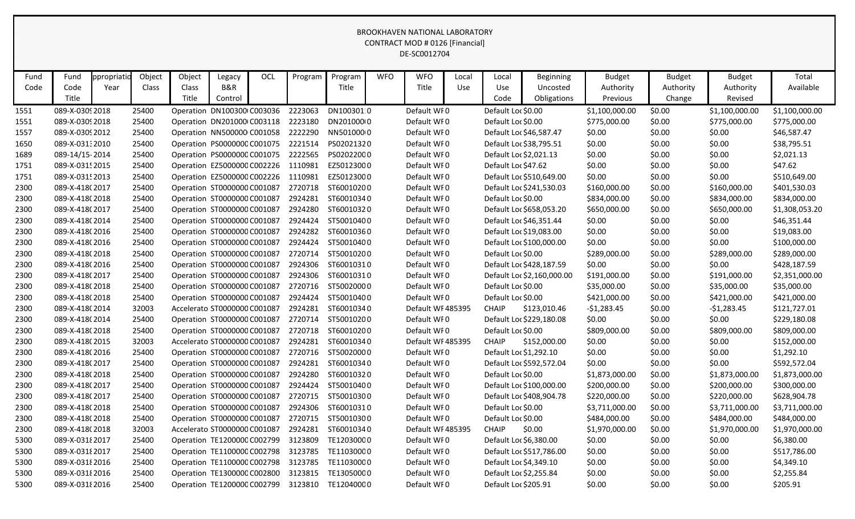|      | <b>BROOKHAVEN NATIONAL LABORATORY</b><br><b>CONTRACT MOD # 0126 [Financial]</b><br>DE-SC0012704 |             |        |                              |                |     |         |                    |            |                  |       |                        |                            |                       |                     |                      |                |
|------|-------------------------------------------------------------------------------------------------|-------------|--------|------------------------------|----------------|-----|---------|--------------------|------------|------------------|-------|------------------------|----------------------------|-----------------------|---------------------|----------------------|----------------|
| Fund | Fund                                                                                            | ppropriatio | Object | Object                       | Legacy         | OCL | Program | Program            | <b>WFO</b> | <b>WFO</b>       | Local | Local                  | <b>Beginning</b>           | <b>Budget</b>         | <b>Budget</b>       | <b>Budget</b>        | Total          |
| Code | Code<br>Title                                                                                   | Year        | Class  | Class<br>Title               | B&R<br>Control |     |         | Title              |            | Title            | Use   | Use<br>Code            | Uncosted<br>Obligations    | Authority<br>Previous | Authority<br>Change | Authority<br>Revised | Available      |
| 1551 | 089-X-0309 2018                                                                                 |             | 25400  | Operation DN100300 C003036   |                |     | 2223063 | DN100301 0         |            | Default WF0      |       | Default Loc \$0.00     |                            | \$1,100,000.00        | \$0.00              | \$1,100,000.00       | \$1,100,000.00 |
| 1551 | 089-X-0309 2018                                                                                 |             | 25400  | Operation DN201000 C003118   |                |     | 2223180 | DN201000(0         |            | Default WF0      |       | Default Loc \$0.00     |                            | \$775,000.00          | \$0.00              | \$775,000.00         | \$775,000.00   |
| 1557 | 089-X-0309 2012                                                                                 |             | 25400  | Operation NN500000 C001058   |                |     | 2222290 | NN5010000          |            | Default WF0      |       |                        | Default Loc \$46,587.47    | \$0.00                | \$0.00              | \$0.00               | \$46,587.47    |
| 1650 | 089-X-031:2010                                                                                  |             | 25400  | Operation PS0000000 C001075  |                |     | 2221514 | PS02021320         |            | Default WF0      |       |                        | Default Loc \$38,795.51    | \$0.00                | \$0.00              | \$0.00               | \$38,795.51    |
| 1689 | 089-14/15-2014                                                                                  |             | 25400  | Operation PS0000000 C001075  |                |     | 2222565 | PS02022000         |            | Default WF0      |       | Default Loc \$2,021.13 |                            | \$0.00                | \$0.00              | \$0.00               | \$2,021.13     |
| 1751 | 089-X-031! 2015                                                                                 |             | 25400  | Operation EZ5000000 C002226  |                |     | 1110981 | EZ50123000         |            | Default WF0      |       | Default Loc \$47.62    |                            | \$0.00                | \$0.00              | \$0.00               | \$47.62        |
| 1751 | 089-X-0315 2013                                                                                 |             | 25400  | Operation EZ5000000 C002226  |                |     | 1110981 | EZ50123000         |            | Default WF0      |       |                        | Default Loc \$510,649.00   | \$0.00                | \$0.00              | \$0.00               | \$510,649.00   |
| 2300 | 089-X-418(2017                                                                                  |             | 25400  | Operation ST0000000 C001087  |                |     | 2720718 | ST60010200         |            | Default WF0      |       |                        | Default Loc \$241,530.03   | \$160,000.00          | \$0.00              | \$160,000.00         | \$401,530.03   |
| 2300 | 089-X-418(2018                                                                                  |             | 25400  | Operation ST0000000 C001087  |                |     | 2924281 | ST60010340         |            | Default WFO      |       | Default Loc \$0.00     |                            | \$834,000.00          | \$0.00              | \$834,000.00         | \$834,000.00   |
| 2300 | 089-X-418(2017                                                                                  |             | 25400  | Operation ST0000000 C001087  |                |     | 2924280 | ST60010320         |            | Default WF0      |       |                        | Default Loc \$658,053.20   | \$650,000.00          | \$0.00              | \$650,000.00         | \$1,308,053.20 |
| 2300 | 089-X-418(2014                                                                                  |             | 25400  | Operation ST0000000 C001087  |                |     | 2924424 | ST50010400         |            | Default WF0      |       |                        | Default Loc \$46,351.44    | \$0.00                | \$0.00              | \$0.00               | \$46,351.44    |
| 2300 | 089-X-418(2016                                                                                  |             | 25400  | Operation ST0000000 C001087  |                |     | 2924282 | ST60010360         |            | Default WF0      |       |                        | Default Loc \$19,083.00    | \$0.00                | \$0.00              | \$0.00               | \$19,083.00    |
| 2300 | 089-X-418(2016                                                                                  |             | 25400  | Operation ST0000000 C001087  |                |     | 2924424 | ST50010400         |            | Default WF0      |       |                        | Default Loc \$100,000.00   | \$0.00                | \$0.00              | \$0.00               | \$100,000.00   |
| 2300 | 089-X-418(2018                                                                                  |             | 25400  | Operation ST0000000 C001087  |                |     | 2720714 | ST50010200         |            | Default WF0      |       | Default Loc \$0.00     |                            | \$289,000.00          | \$0.00              | \$289,000.00         | \$289,000.00   |
| 2300 | 089-X-418(2016                                                                                  |             | 25400  | Operation ST0000000 C001087  |                |     | 2924306 | ST60010310         |            | Default WF0      |       |                        | Default Loc \$428,187.59   | \$0.00                | \$0.00              | \$0.00               | \$428,187.59   |
| 2300 | 089-X-418(2017                                                                                  |             | 25400  | Operation ST0000000 C001087  |                |     | 2924306 | ST60010310         |            | Default WF0      |       |                        | Default Loc \$2,160,000.00 | \$191,000.00          | \$0.00              | \$191,000.00         | \$2,351,000.00 |
| 2300 | 089-X-418(2018                                                                                  |             | 25400  | Operation ST0000000 C001087  |                |     | 2720716 | ST50020000         |            | Default WF0      |       | Default Loc \$0.00     |                            | \$35,000.00           | \$0.00              | \$35,000.00          | \$35,000.00    |
| 2300 | 089-X-418(2018                                                                                  |             | 25400  | Operation ST0000000 C001087  |                |     | 2924424 | ST50010400         |            | Default WF0      |       | Default Loc \$0.00     |                            | \$421,000.00          | \$0.00              | \$421,000.00         | \$421,000.00   |
| 2300 | 089-X-418(2014                                                                                  |             | 32003  | Accelerato ST0000000 C001087 |                |     | 2924281 | ST60010340         |            | Default WF485395 |       | <b>CHAIP</b>           | \$123,010.46               | $-$1,283.45$          | \$0.00              | $-51,283.45$         | \$121,727.01   |
| 2300 | 089-X-418(2014                                                                                  |             | 25400  | Operation ST0000000 C001087  |                |     | 2720714 | ST50010200         |            | Default WF0      |       |                        | Default Loc \$229,180.08   | \$0.00                | \$0.00              | \$0.00               | \$229,180.08   |
| 2300 | 089-X-418(2018                                                                                  |             | 25400  | Operation ST0000000 C001087  |                |     | 2720718 | ST60010200         |            | Default WF0      |       | Default Loc \$0.00     |                            | \$809,000.00          | \$0.00              | \$809,000.00         | \$809,000.00   |
| 2300 | 089-X-418(2015                                                                                  |             | 32003  | Accelerato ST0000000 C001087 |                |     | 2924281 | ST60010340         |            | Default WF485395 |       | <b>CHAIP</b>           | \$152,000.00               | \$0.00                | \$0.00              | \$0.00               | \$152,000.00   |
| 2300 | 089-X-418(2016                                                                                  |             | 25400  | Operation ST0000000 C001087  |                |     | 2720716 | ST50020000         |            | Default WF0      |       | Default Loc \$1,292.10 |                            | \$0.00                | \$0.00              | \$0.00               | \$1,292.10     |
| 2300 | 089-X-418(2017                                                                                  |             | 25400  | Operation ST0000000 C001087  |                |     | 2924281 | ST60010340         |            | Default WFO      |       |                        | Default Loc \$592,572.04   | \$0.00                | \$0.00              | \$0.00               | \$592,572.04   |
| 2300 | 089-X-418(2018                                                                                  |             | 25400  | Operation ST0000000 C001087  |                |     | 2924280 | ST60010320         |            | Default WFO      |       | Default Loc \$0.00     |                            | \$1,873,000.00        | \$0.00              | \$1,873,000.00       | \$1,873,000.00 |
| 2300 | 089-X-418(2017                                                                                  |             | 25400  | Operation ST0000000 C001087  |                |     |         | 2924424 ST50010400 |            | Default WF0      |       |                        | Default Loc \$100,000.00   | \$200,000.00          | \$0.00              | \$200,000.00         | \$300,000.00   |
| 2300 | 089-X-418(2017                                                                                  |             | 25400  | Operation ST0000000 C001087  |                |     |         | 2720715 ST50010300 |            | Default WF0      |       |                        | Default Loc \$408,904.78   | \$220,000.00          | \$0.00              | \$220,000.00         | \$628,904.78   |
| 2300 | 089-X-418(2018                                                                                  |             | 25400  | Operation ST0000000 C001087  |                |     | 2924306 | ST60010310         |            | Default WF0      |       | Default Loc \$0.00     |                            | \$3,711,000.00        | \$0.00              | \$3,711,000.00       | \$3,711,000.00 |
| 2300 | 089-X-418(2018                                                                                  |             | 25400  | Operation ST0000000 C001087  |                |     | 2720715 | ST50010300         |            | Default WF0      |       | Default Loc \$0.00     |                            | \$484,000.00          | \$0.00              | \$484,000.00         | \$484,000.00   |
| 2300 | 089-X-418(2018                                                                                  |             | 32003  | Accelerato ST0000000 C001087 |                |     | 2924281 | ST60010340         |            | Default WF485395 |       | <b>CHAIP</b>           | \$0.00                     | \$1,970,000.00        | \$0.00              | \$1,970,000.00       | \$1,970,000.00 |
| 5300 | 089-X-031 {2017                                                                                 |             | 25400  | Operation TE1200000 C002799  |                |     | 3123809 | TE12030000         |            | Default WF0      |       | Default Loc \$6,380.00 |                            | \$0.00                | \$0.00              | \$0.00               | \$6,380.00     |
| 5300 | 089-X-031 {2017                                                                                 |             | 25400  | Operation TE1100000 C002798  |                |     | 3123785 | TE11030000         |            | Default WF0      |       |                        | Default Loc \$517,786.00   | \$0.00                | \$0.00              | \$0.00               | \$517,786.00   |
| 5300 | 089-X-031 2016                                                                                  |             | 25400  | Operation TE1100000 C002798  |                |     | 3123785 | TE11030000         |            | Default WF0      |       | Default Loc \$4,349.10 |                            | \$0.00                | \$0.00              | \$0.00               | \$4,349.10     |
| 5300 | 089-X-031 2016                                                                                  |             | 25400  | Operation TE1300000 C002800  |                |     | 3123815 | TE13050000         |            | Default WF0      |       | Default Loc \$2,255.84 |                            | \$0.00                | \$0.00              | \$0.00               | \$2,255.84     |
| 5300 | 089-X-031 2016                                                                                  |             | 25400  | Operation TE1200000 C002799  |                |     | 3123810 | TE12040000         |            | Default WF0      |       | Default Loc \$205.91   |                            | \$0.00                | \$0.00              | \$0.00               | \$205.91       |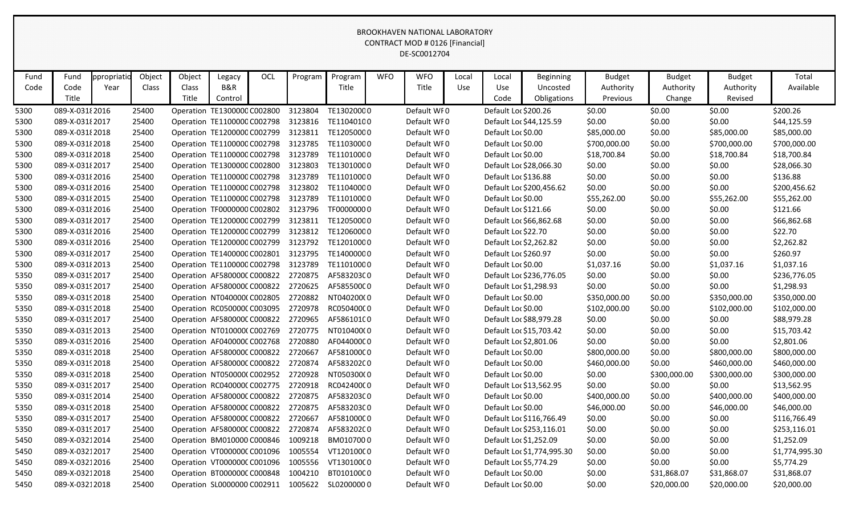|      | <b>BROOKHAVEN NATIONAL LABORATORY</b><br>CONTRACT MOD # 0126 [Financial]<br>DE-SC0012704 |             |        |                             |                |     |         |                                                 |            |             |       |                        |                            |                       |                     |                      |                |
|------|------------------------------------------------------------------------------------------|-------------|--------|-----------------------------|----------------|-----|---------|-------------------------------------------------|------------|-------------|-------|------------------------|----------------------------|-----------------------|---------------------|----------------------|----------------|
| Fund | Fund                                                                                     | ppropriatio | Object | Object                      | Legacy         | OCL | Program | Program                                         | <b>WFO</b> | <b>WFO</b>  | Local | Local                  | <b>Beginning</b>           | <b>Budget</b>         | <b>Budget</b>       | <b>Budget</b>        | Total          |
| Code | Code<br>Title                                                                            | Year        | Class  | Class<br>Title              | B&R<br>Control |     |         | Title                                           |            | Title       | Use   | Use<br>Code            | Uncosted<br>Obligations    | Authority<br>Previous | Authority<br>Change | Authority<br>Revised | Available      |
| 5300 | 089-X-0318 2016                                                                          |             | 25400  | Operation TE1300000 C002800 |                |     | 3123804 | TE13020000                                      |            | Default WF0 |       | Default Loc \$200.26   |                            | \$0.00                | \$0.00              | \$0.00               | \$200.26       |
| 5300 | 089-X-0318 2017                                                                          |             | 25400  | Operation TE1100000 C002798 |                |     | 3123816 | TE11040100                                      |            | Default WF0 |       |                        | Default Loc \$44,125.59    | \$0.00                | \$0.00              | \$0.00               | \$44,125.59    |
| 5300 | 089-X-031 {2018                                                                          |             | 25400  | Operation TE1200000 C002799 |                |     | 3123811 | TE12050000                                      |            | Default WF0 |       | Default Loc \$0.00     |                            | \$85,000.00           | \$0.00              | \$85,000.00          | \$85,000.00    |
| 5300 | 089-X-031 2018                                                                           |             | 25400  | Operation TE1100000 C002798 |                |     | 3123785 | TE11030000                                      |            | Default WF0 |       | Default Loc \$0.00     |                            | \$700,000.00          | \$0.00              | \$700,000.00         | \$700,000.00   |
| 5300 | 089-X-031 {2018                                                                          |             | 25400  | Operation TE1100000 C002798 |                |     | 3123789 | TE11010000                                      |            | Default WF0 |       | Default Loc \$0.00     |                            | \$18,700.84           | \$0.00              | \$18,700.84          | \$18,700.84    |
| 5300 | 089-X-031 {2017                                                                          |             | 25400  | Operation TE1300000 C002800 |                |     | 3123803 | TE13010000                                      |            | Default WF0 |       |                        | Default Loc \$28,066.30    | \$0.00                | \$0.00              | \$0.00               | \$28,066.30    |
| 5300 | 089-X-0318 2016                                                                          |             | 25400  | Operation TE1100000 C002798 |                |     | 3123789 | TE11010000                                      |            | Default WF0 |       | Default Loc \$136.88   |                            | \$0.00                | \$0.00              | \$0.00               | \$136.88       |
| 5300 | 089-X-031 2016                                                                           |             | 25400  | Operation TE1100000 C002798 |                |     | 3123802 | TE11040000                                      |            | Default WF0 |       |                        | Default Loc \$200,456.62   | \$0.00                | \$0.00              | \$0.00               | \$200,456.62   |
| 5300 | 089-X-031 2015                                                                           |             | 25400  | Operation TE1100000 C002798 |                |     | 3123789 | TE11010000                                      |            | Default WF0 |       | Default Loc \$0.00     |                            | \$55,262.00           | \$0.00              | \$55,262.00          | \$55,262.00    |
| 5300 | 089-X-031 2016                                                                           |             | 25400  | Operation TF0000000 C002802 |                |     | 3123796 | TF00000000                                      |            | Default WF0 |       | Default Loc \$121.66   |                            | \$0.00                | \$0.00              | \$0.00               | \$121.66       |
| 5300 | 089-X-031 {2017                                                                          |             | 25400  | Operation TE1200000 C002799 |                |     | 3123811 | TE12050000                                      |            | Default WF0 |       |                        | Default Loc \$66,862.68    | \$0.00                | \$0.00              | \$0.00               | \$66,862.68    |
| 5300 | 089-X-031 2016                                                                           |             | 25400  | Operation TE1200000 C002799 |                |     | 3123812 | TE12060000                                      |            | Default WF0 |       | Default Loc \$22.70    |                            | \$0.00                | \$0.00              | \$0.00               | \$22.70        |
| 5300 | 089-X-031 2016                                                                           |             | 25400  | Operation TE1200000 C002799 |                |     | 3123792 | TE12010000                                      |            | Default WF0 |       | Default Loc \$2,262.82 |                            | \$0.00                | \$0.00              | \$0.00               | \$2,262.82     |
| 5300 | 089-X-0318 2017                                                                          |             | 25400  | Operation TE1400000 C002801 |                |     | 3123795 | TE14000000                                      |            | Default WF0 |       | Default Loc \$260.97   |                            | \$0.00                | \$0.00              | \$0.00               | \$260.97       |
| 5300 | 089-X-03182013                                                                           |             | 25400  | Operation TE1100000 C002798 |                |     | 3123789 | TE11010000                                      |            | Default WF0 |       | Default Loc \$0.00     |                            | \$1,037.16            | \$0.00              | \$1,037.16           | \$1,037.16     |
| 5350 | 089-X-03192017                                                                           |             | 25400  | Operation AF580000CC000822  |                |     | 2720875 | AF583203C0                                      |            | Default WF0 |       |                        | Default Loc \$236,776.05   | \$0.00                | \$0.00              | \$0.00               | \$236,776.05   |
| 5350 | 089-X-03192017                                                                           |             | 25400  | Operation AF580000CC000822  |                |     | 2720625 | AF585500C0                                      |            | Default WF0 |       | Default Loc \$1,298.93 |                            | \$0.00                | \$0.00              | \$0.00               | \$1,298.93     |
| 5350 | 089-X-03192018                                                                           |             | 25400  | Operation NT040000(C002805  |                |     | 2720882 | NT040200(0                                      |            | Default WF0 |       | Default Loc \$0.00     |                            | \$350,000.00          | \$0.00              | \$350,000.00         | \$350,000.00   |
| 5350 | 089-X-03192018                                                                           |             | 25400  | Operation RC050000CC003095  |                |     | 2720978 | RC05040000                                      |            | Default WFO |       | Default Loc \$0.00     |                            | \$102,000.00          | \$0.00              | \$102,000.00         | \$102,000.00   |
| 5350 | 089-X-0319 2017                                                                          |             | 25400  | Operation AF580000CC000822  |                |     | 2720965 | AF586101C0                                      |            | Default WF0 |       |                        | Default Loc \$88,979.28    | \$0.00                | \$0.00              | \$0.00               | \$88,979.28    |
| 5350 | 089-X-0319 2013                                                                          |             | 25400  | Operation NT010000(C002769  |                |     | 2720775 | NT010400(0                                      |            | Default WF0 |       |                        | Default Loc \$15,703.42    | \$0.00                | \$0.00              | \$0.00               | \$15,703.42    |
| 5350 | 089-X-0319 2016                                                                          |             | 25400  | Operation AF040000CC002768  |                |     | 2720880 | AF044000C0                                      |            | Default WF0 |       | Default Loc \$2,801.06 |                            | \$0.00                | \$0.00              | \$0.00               | \$2,801.06     |
| 5350 | 089-X-03192018                                                                           |             | 25400  | Operation AF580000CC000822  |                |     | 2720667 | AF581000C0                                      |            | Default WF0 |       | Default Loc \$0.00     |                            | \$800,000.00          | \$0.00              | \$800,000.00         | \$800,000.00   |
| 5350 | 089-X-0319 2018                                                                          |             | 25400  | Operation AF580000CC000822  |                |     | 2720874 | AF58320200                                      |            | Default WFO |       | Default Loc \$0.00     |                            | \$460,000.00          | \$0.00              | \$460,000.00         | \$460,000.00   |
| 5350 | 089-X-03192018                                                                           |             | 25400  | Operation NT050000(C002952  |                |     | 2720928 | NT050300(0                                      |            | Default WF0 |       | Default Loc \$0.00     |                            | \$0.00                | \$300,000.00        | \$300,000.00         | \$300,000.00   |
| 5350 | 089-X-03192017                                                                           |             | 25400  | Operation RC040000CC002775  |                |     | 2720918 | RC04240000                                      |            | Default WF0 |       |                        | Default Loc \$13,562.95    | \$0.00                | \$0.00              | \$0.00               | \$13,562.95    |
| 5350 | 089-X-03192014                                                                           |             | 25400  | Operation AF580000CC000822  |                |     | 2720875 | AF583203C0                                      |            | Default WF0 |       | Default Loc \$0.00     |                            | \$400,000.00          | \$0.00              | \$400,000.00         | \$400,000.00   |
| 5350 | 089-X-03192018                                                                           |             | 25400  | Operation AF580000CC000822  |                |     | 2720875 | AF583203C0                                      |            | Default WF0 |       | Default Loc \$0.00     |                            | \$46,000.00           | \$0.00              | \$46,000.00          | \$46,000.00    |
| 5350 | 089-X-03192017                                                                           |             | 25400  | Operation AF580000CC000822  |                |     | 2720667 | AF581000C0                                      |            | Default WF0 |       |                        | Default Loc \$116,766.49   | \$0.00                | \$0.00              | \$0.00               | \$116,766.49   |
| 5350 | 089-X-03192017                                                                           |             | 25400  | Operation AF580000CC000822  |                |     | 2720874 | AF583202C0                                      |            | Default WF0 |       |                        | Default Loc \$253,116.01   | \$0.00                | \$0.00              | \$0.00               | \$253,116.01   |
| 5450 | 089-X-03212014                                                                           |             | 25400  | Operation BM010000 C000846  |                |     | 1009218 | BM0107000                                       |            | Default WF0 |       | Default Loc \$1,252.09 |                            | \$0.00                | \$0.00              | \$0.00               | \$1,252.09     |
| 5450 | 089-X-03212017                                                                           |             | 25400  | Operation VT000000CC001096  |                |     | 1005554 | VT12010000                                      |            | Default WF0 |       |                        | Default Loc \$1,774,995.30 | \$0.00                | \$0.00              | \$0.00               | \$1,774,995.30 |
| 5450 | 089-X-03212016                                                                           |             | 25400  | Operation VT000000CC001096  |                |     | 1005556 | VT13010000                                      |            | Default WFO |       | Default Loc \$5,774.29 |                            | \$0.00                | \$0.00              | \$0.00               | \$5,774.29     |
| 5450 | 089-X-03212018                                                                           |             | 25400  | Operation BT0000000 C000848 |                |     | 1004210 | BT010100C0                                      |            | Default WF0 |       | Default Loc \$0.00     |                            | \$0.00                | \$31,868.07         | \$31,868.07          | \$31,868.07    |
| 5450 | 089-X-03212018                                                                           |             | 25400  |                             |                |     |         | Operation SL0000000 C002911 1005622 SL0200000 0 |            | Default WF0 |       | Default Loc \$0.00     |                            | \$0.00                | \$20,000.00         | \$20,000.00          | \$20,000.00    |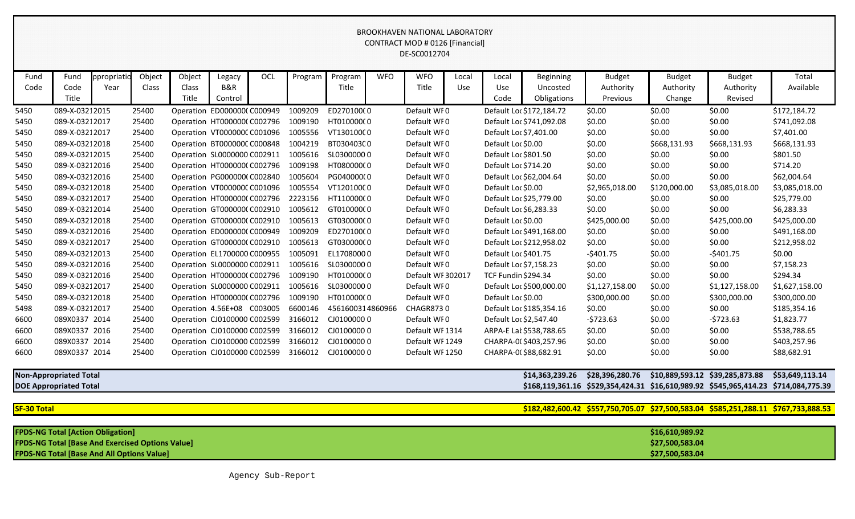|      | <b>BROOKHAVEN NATIONAL LABORATORY</b><br><b>CONTRACT MOD # 0126 [Financial]</b><br>DE-SC0012704 |             |                                        |            |                             |        |                      |                  |                      |                   |        |                            |                          |                |               |                |                |
|------|-------------------------------------------------------------------------------------------------|-------------|----------------------------------------|------------|-----------------------------|--------|----------------------|------------------|----------------------|-------------------|--------|----------------------------|--------------------------|----------------|---------------|----------------|----------------|
| Fund | Fund                                                                                            | ppropriatio | Object                                 | Object     | Legacy                      | OCL    | Program              | Program          | <b>WFO</b>           | <b>WFO</b>        | Local  | Local                      | Beginning                | <b>Budget</b>  | <b>Budget</b> | <b>Budget</b>  | Total          |
| Code | Code                                                                                            | Year        | Class                                  | Class      | B&R                         |        |                      | Title            |                      | Title             | Use    | Use                        | Uncosted                 | Authority      | Authority     | Authority      | Available      |
|      | Title                                                                                           |             |                                        | Title      | Control                     |        |                      |                  |                      |                   |        | Code                       | Obligations              | Previous       | Change        | Revised        |                |
| 5450 | 089-X-03212015                                                                                  |             | 25400                                  |            | Operation ED000000CC000949  |        | 1009209              | ED27010000       |                      | Default WF0       |        |                            | Default Loc \$172,184.72 | \$0.00         | \$0.00        | \$0.00         | \$172,184.72   |
| 5450 | 089-X-03212017                                                                                  |             | 25400                                  |            | Operation HT0000000 C002796 |        | 1009190              | HT01000000       |                      | Default WF0       |        |                            | Default Loc \$741,092.08 | \$0.00         | \$0.00        | \$0.00         | \$741,092.08   |
| 5450 | 089-X-03212017                                                                                  |             | 25400                                  |            | Operation VT000000CC001096  |        | 1005556              | VT13010000       |                      | Default WF0       |        | Default Loc \$7,401.00     |                          | \$0.00         | \$0.00        | \$0.00         | \$7,401.00     |
| 5450 | 089-X-03212018                                                                                  |             | 25400                                  |            | Operation BT0000000 C000848 |        | 1004219              | BT030403C0       |                      | Default WF0       |        | Default Loc \$0.00         |                          | \$0.00         | \$668,131.93  | \$668,131.93   | \$668,131.93   |
| 5450 | 089-X-03212015<br>25400<br>Operation SL0000000 C002911                                          |             |                                        |            | 1005616<br>SL03000000       |        | Default WF0          |                  | Default Loc \$801.50 |                   | \$0.00 | \$0.00                     | \$0.00                   | \$801.50       |               |                |                |
| 5450 | 089-X-03212016<br>25400<br>Operation HT000000C C002796                                          |             | 1009198                                | HT08000000 | Default WF0                 |        | Default Loc \$714.20 |                  | \$0.00               | \$0.00            | \$0.00 | \$714.20                   |                          |                |               |                |                |
| 5450 | 089-X-03212016<br>25400<br>Operation PG000000(C002840<br>1005604<br>PG040000(0                  |             | Default WF0<br>Default Loc \$62,004.64 |            | \$0.00                      | \$0.00 | \$0.00               | \$62,004.64      |                      |                   |        |                            |                          |                |               |                |                |
| 5450 | 089-X-03212018                                                                                  |             | 25400                                  |            | Operation VT000000CC001096  |        | 1005554              | VT12010000       |                      | Default WF0       |        | Default Loc \$0.00         |                          | \$2,965,018.00 | \$120,000.00  | \$3,085,018.00 | \$3,085,018.00 |
| 5450 | 089-X-03212017                                                                                  |             | 25400                                  |            | Operation HT000000C C002796 |        | 2223156              | HT11000000       |                      | Default WF0       |        | Default Loc \$25,779.00    |                          | \$0.00         | \$0.00        | \$0.00         | \$25,779.00    |
| 5450 | 089-X-03212014                                                                                  |             | 25400                                  |            | Operation GT000000CC002910  |        | 1005612              | GT01000000       |                      | Default WF0       |        | Default Loc \$6,283.33     |                          | \$0.00         | \$0.00        | \$0.00         | \$6,283.33     |
| 5450 | 089-X-03212018                                                                                  |             | 25400                                  |            | Operation GT000000CC002910  |        | 1005613              | GT03000000       |                      | Default WF0       |        | Default Loc \$0.00         |                          | \$425,000.00   | \$0.00        | \$425,000.00   | \$425,000.00   |
| 5450 | 089-X-03212016                                                                                  |             | 25400                                  |            | Operation ED000000CC000949  |        | 1009209              | ED270100(0       |                      | Default WF0       |        |                            | Default Loc \$491,168.00 | \$0.00         | \$0.00        | \$0.00         | \$491,168.00   |
| 5450 | 089-X-03212017                                                                                  |             | 25400                                  |            | Operation GT000000CC002910  |        | 1005613              | GT03000000       |                      | Default WF0       |        | Default Loc \$212,958.02   |                          | \$0.00         | \$0.00        | \$0.00         | \$212,958.02   |
| 5450 | 089-X-03212013                                                                                  |             | 25400                                  |            | Operation EL1700000 C000955 |        | 1005091              | EL17080000       |                      | Default WF0       |        | Default Loc \$401.75       |                          | $-$401.75$     | \$0.00        | $-5401.75$     | \$0.00         |
| 5450 | 089-X-03212016                                                                                  |             | 25400                                  |            | Operation SL0000000 C002911 |        | 1005616              | SL03000000       |                      | Default WF0       |        | Default Loc \$7,158.23     |                          | \$0.00         | \$0.00        | \$0.00         | \$7,158.23     |
| 5450 | 089-X-03212016                                                                                  |             | 25400                                  |            | Operation HT0000000 C002796 |        | 1009190              | HT01000000       |                      | Default WF 302017 |        | <b>TCF Fundin \$294.34</b> |                          | \$0.00         | \$0.00        | \$0.00         | \$294.34       |
| 5450 | 089-X-03212017                                                                                  |             | 25400                                  |            | Operation SL0000000 C002911 |        | 1005616              | SL03000000       |                      | Default WF0       |        |                            | Default Loc \$500,000.00 | \$1,127,158.00 | \$0.00        | \$1,127,158.00 | \$1,627,158.00 |
| 5450 | 089-X-03212018                                                                                  |             | 25400                                  |            | Operation HT000000C C002796 |        | 1009190              | HT01000000       |                      | Default WF0       |        | Default Loc \$0.00         |                          | \$300,000.00   | \$0.00        | \$300,000.00   | \$300,000.00   |
| 5498 | 089-X-03212017                                                                                  |             | 25400                                  |            | Operation 4.56E+08 C003005  |        | 6600146              | 4561600314860966 |                      | CHAGR8730         |        |                            | Default Loc \$185,354.16 | \$0.00         | \$0.00        | \$0.00         | \$185,354.16   |
| 6600 | 089X0337 2014                                                                                   |             | 25400                                  |            | Operation CJ0100000 C002599 |        | 3166012              | CJ01000000       |                      | Default WF0       |        | Default Loc \$2,547.40     |                          | $-5723.63$     | \$0.00        | $-5723.63$     | \$1,823.77     |
| 6600 | 089X0337 2016                                                                                   |             | 25400                                  |            | Operation CJ0100000 C002599 |        | 3166012              | CJ01000000       |                      | Default WF1314    |        |                            | ARPA-E Lat \$538,788.65  | \$0.00         | \$0.00        | \$0.00         | \$538,788.65   |
| 6600 | 089X0337 2014                                                                                   |             | 25400                                  |            | Operation CJ0100000 C002599 |        | 3166012              | CJ01000000       |                      | Default WF 1249   |        |                            | CHARPA-0(\$403,257.96    | \$0.00         | \$0.00        | \$0.00         | \$403,257.96   |
| 6600 | 089X0337 2014                                                                                   |             | 25400                                  |            | Operation CJ0100000 C002599 |        | 3166012              | CJ01000000       |                      | Default WF 1250   |        |                            | CHARPA-0(\$88,682.91     | \$0.00         | \$0.00        | \$0.00         | \$88,682.91    |

# **Non-Appropriated Total \$14,363,239.26 \$28,396,280.76 \$10,889,593.12 \$39,285,873.88 \$53,649,113.14**

**DOE Appropriated Total \$168,119,361.16 \$529,354,424.31 \$16,610,989.92 \$545,965,414.23 \$714,084,775.39**

## **SF-30 Total \$182,482,600.42 \$557,750,705.07 \$27,500,583.04 \$585,251,288.11 \$767,733,888.53**

| <b>FPDS-NG Total [Action Obligation]</b>                | \$16,610,989.92 |
|---------------------------------------------------------|-----------------|
| <b>FPDS-NG Total [Base And Exercised Options Value]</b> | \$27,500,583.04 |
| <b>FPDS-NG Total [Base And All Options Value]</b>       | \$27,500,583.04 |